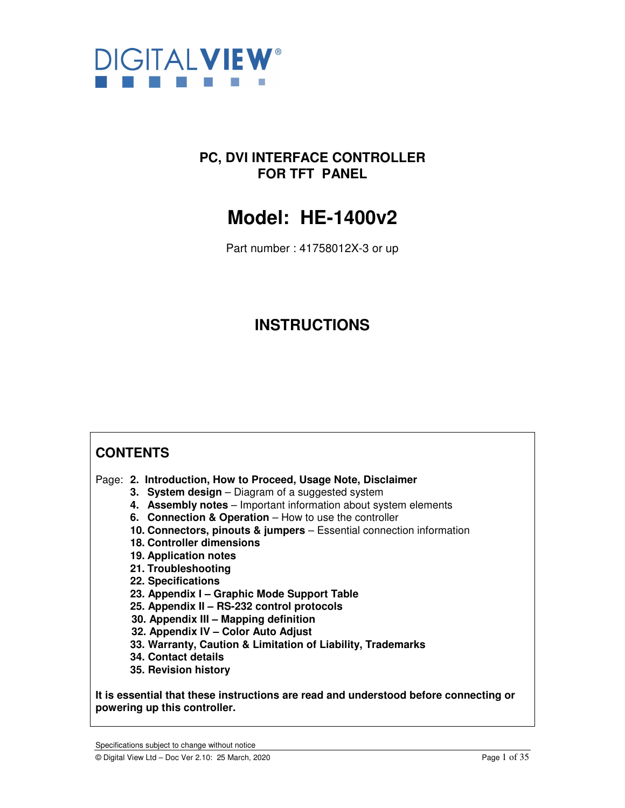

# **PC, DVI INTERFACE CONTROLLER FOR TFT PANEL**

# **Model: HE-1400v2**

Part number : 41758012X-3 or up

# **INSTRUCTIONS**

# **CONTENTS**

Page: **2. Introduction, How to Proceed, Usage Note, Disclaimer** 

- **3. System design** Diagram of a suggested system
- **4. Assembly notes** Important information about system elements
- **6. Connection & Operation** How to use the controller
- **10. Connectors, pinouts & jumpers** Essential connection information
- **18. Controller dimensions**
- **19. Application notes**
- **21. Troubleshooting**
- **22. Specifications**
- **23. Appendix I Graphic Mode Support Table**
- **25. Appendix II RS-232 control protocols**
- **30. Appendix III Mapping definition**
- **32. Appendix IV Color Auto Adjust**
- **33. Warranty, Caution & Limitation of Liability, Trademarks**
- **34. Contact details**
- **35. Revision history**

**It is essential that these instructions are read and understood before connecting or powering up this controller.** 

Specifications subject to change without notice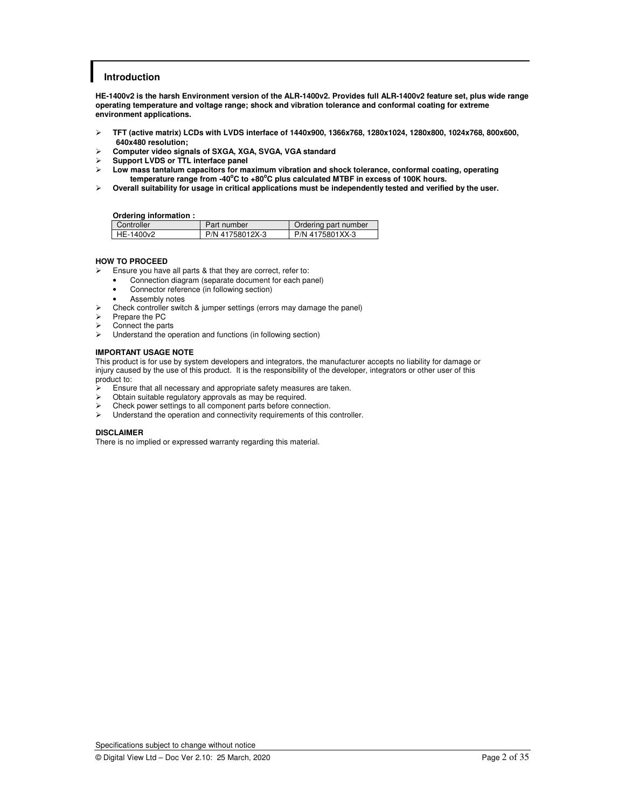### **Introduction**

**HE-1400v2 is the harsh Environment version of the ALR-1400v2. Provides full ALR-1400v2 feature set, plus wide range operating temperature and voltage range; shock and vibration tolerance and conformal coating for extreme environment applications.** 

- **TFT (active matrix) LCDs with LVDS interface of 1440x900, 1366x768, 1280x1024, 1280x800, 1024x768, 800x600, 640x480 resolution;**
- **Computer video signals of SXGA, XGA, SVGA, VGA standard**
- **Support LVDS or TTL interface panel**
- **Low mass tantalum capacitors for maximum vibration and shock tolerance, conformal coating, operating temperature range from -40<sup>o</sup>C to +80<sup>o</sup>C plus calculated MTBF in excess of 100K hours.**
- **Overall suitability for usage in critical applications must be independently tested and verified by the user.**

**Ordering information :** 

| Controller | Part number     | Ordering part number |  |  |  |
|------------|-----------------|----------------------|--|--|--|
| HE-1400v2  | P/N 41758012X-3 | P/N 4175801XX-3      |  |  |  |

### **HOW TO PROCEED**

 $\triangleright$  Ensure you have all parts & that they are correct, refer to:

- Connection diagram (separate document for each panel)
- Connector reference (in following section)
- Assembly notes
- $\triangleright$  Check controller switch & jumper settings (errors may damage the panel)
- $\triangleright$  Prepare the PC
- $\triangleright$  Connect the parts<br> $\triangleright$  Understand the or
- Understand the operation and functions (in following section)

### **IMPORTANT USAGE NOTE**

This product is for use by system developers and integrators, the manufacturer accepts no liability for damage or injury caused by the use of this product. It is the responsibility of the developer, integrators or other user of this product to:

- Ensure that all necessary and appropriate safety measures are taken.
- Obtain suitable regulatory approvals as may be required.
- Exercise Check power settings to all component parts before connection.<br>
Exercise Linderstand the operation and connectivity requirements of this
- Understand the operation and connectivity requirements of this controller.

#### **DISCLAIMER**

There is no implied or expressed warranty regarding this material.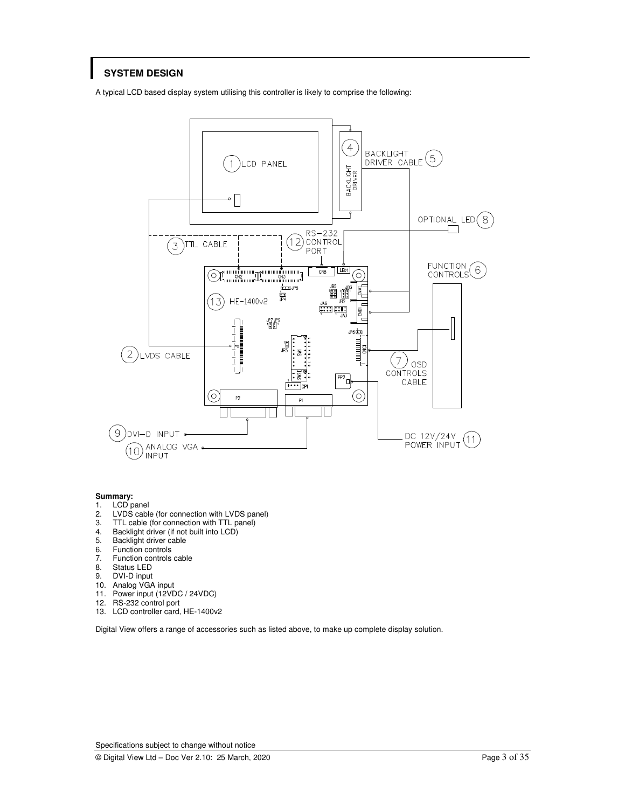# **SYSTEM DESIGN**

A typical LCD based display system utilising this controller is likely to comprise the following:



### **Summary:**

- 1. LCD panel
- 2. LVDS cable (for connection with LVDS panel)<br>3. TTL cable (for connection with TTL panel)
- 3. TTL cable (for connection with TTL panel)<br>4. Backlight driver (if not built into LCD)
- 4. Backlight driver (if not built into LCD)<br>5. Backlight driver cable
- 5. Backlight driver cable<br>6. Function controls
- 6. Function controls<br>7. Function controls
- 7. Function controls cable<br>8. Status LED
- 8. Status LED<br>9. DVI-D input
- DVI-D input
- 10. Analog VGA input
- 11. Power input (12VDC / 24VDC)
- 12. RS-232 control port
- 13. LCD controller card, HE-1400v2

Digital View offers a range of accessories such as listed above, to make up complete display solution.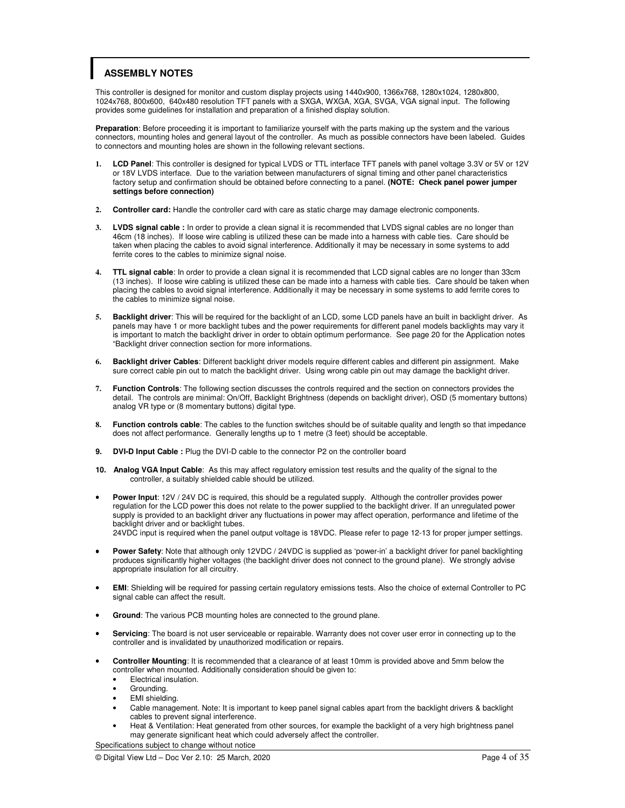# **ASSEMBLY NOTES**

This controller is designed for monitor and custom display projects using 1440x900, 1366x768, 1280x1024, 1280x800, 1024x768, 800x600, 640x480 resolution TFT panels with a SXGA, WXGA, XGA, SVGA, VGA signal input. The following provides some guidelines for installation and preparation of a finished display solution.

**Preparation**: Before proceeding it is important to familiarize yourself with the parts making up the system and the various connectors, mounting holes and general layout of the controller. As much as possible connectors have been labeled. Guides to connectors and mounting holes are shown in the following relevant sections.

- **1. LCD Panel**: This controller is designed for typical LVDS or TTL interface TFT panels with panel voltage 3.3V or 5V or 12V or 18V LVDS interface. Due to the variation between manufacturers of signal timing and other panel characteristics factory setup and confirmation should be obtained before connecting to a panel. **(NOTE: Check panel power jumper settings before connection)**
- **2. Controller card:** Handle the controller card with care as static charge may damage electronic components.
- **3. LVDS signal cable :** In order to provide a clean signal it is recommended that LVDS signal cables are no longer than 46cm (18 inches). If loose wire cabling is utilized these can be made into a harness with cable ties. Care should be taken when placing the cables to avoid signal interference. Additionally it may be necessary in some systems to add ferrite cores to the cables to minimize signal noise.
- **4. TTL signal cable**: In order to provide a clean signal it is recommended that LCD signal cables are no longer than 33cm (13 inches). If loose wire cabling is utilized these can be made into a harness with cable ties. Care should be taken when placing the cables to avoid signal interference. Additionally it may be necessary in some systems to add ferrite cores to the cables to minimize signal noise.
- **5. Backlight driver**: This will be required for the backlight of an LCD, some LCD panels have an built in backlight driver. As panels may have 1 or more backlight tubes and the power requirements for different panel models backlights may vary it is important to match the backlight driver in order to obtain optimum performance. See page 20 for the Application notes "Backlight driver connection section for more informations.
- **6. Backlight driver Cables**: Different backlight driver models require different cables and different pin assignment. Make sure correct cable pin out to match the backlight driver. Using wrong cable pin out may damage the backlight driver.
- **7. Function Controls**: The following section discusses the controls required and the section on connectors provides the detail. The controls are minimal: On/Off, Backlight Brightness (depends on backlight driver), OSD (5 momentary buttons) analog VR type or (8 momentary buttons) digital type.
- **8. Function controls cable**: The cables to the function switches should be of suitable quality and length so that impedance does not affect performance. Generally lengths up to 1 metre (3 feet) should be acceptable.
- **9. DVI-D Input Cable :** Plug the DVI-D cable to the connector P2 on the controller board
- **10. Analog VGA Input Cable**: As this may affect regulatory emission test results and the quality of the signal to the controller, a suitably shielded cable should be utilized.
- • **Power Input**: 12V / 24V DC is required, this should be a regulated supply. Although the controller provides power regulation for the LCD power this does not relate to the power supplied to the backlight driver. If an unregulated power supply is provided to an backlight driver any fluctuations in power may affect operation, performance and lifetime of the backlight driver and or backlight tubes. 24VDC input is required when the panel output voltage is 18VDC. Please refer to page 12-13 for proper jumper settings.
- • **Power Safety**: Note that although only 12VDC / 24VDC is supplied as 'power-in' a backlight driver for panel backlighting produces significantly higher voltages (the backlight driver does not connect to the ground plane). We strongly advise appropriate insulation for all circuitry.
- • **EMI**: Shielding will be required for passing certain regulatory emissions tests. Also the choice of external Controller to PC signal cable can affect the result.
- Ground: The various PCB mounting holes are connected to the ground plane.
- • **Servicing**: The board is not user serviceable or repairable. Warranty does not cover user error in connecting up to the controller and is invalidated by unauthorized modification or repairs.
- • **Controller Mounting**: It is recommended that a clearance of at least 10mm is provided above and 5mm below the controller when mounted. Additionally consideration should be given to:
	- Electrical insulation.
	- Grounding.
	- EMI shielding.
	- Cable management. Note: It is important to keep panel signal cables apart from the backlight drivers & backlight cables to prevent signal interference.
	- Heat & Ventilation: Heat generated from other sources, for example the backlight of a very high brightness panel may generate significant heat which could adversely affect the controller.

Specifications subject to change without notice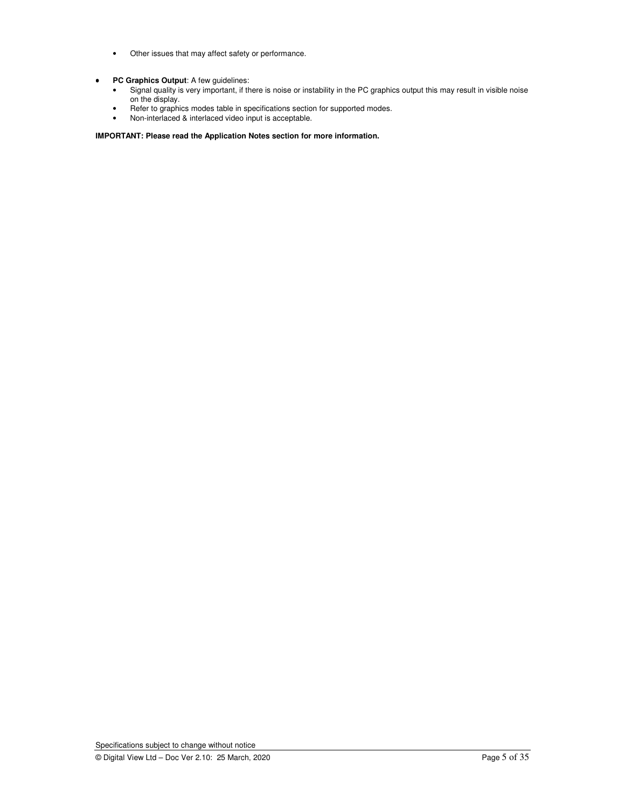- Other issues that may affect safety or performance.
- • **PC Graphics Output**: A few guidelines:
	- Signal quality is very important, if there is noise or instability in the PC graphics output this may result in visible noise on the display.
	- Refer to graphics modes table in specifications section for supported modes.
	- Non-interlaced & interlaced video input is acceptable.

**IMPORTANT: Please read the Application Notes section for more information.** 

Specifications subject to change without notice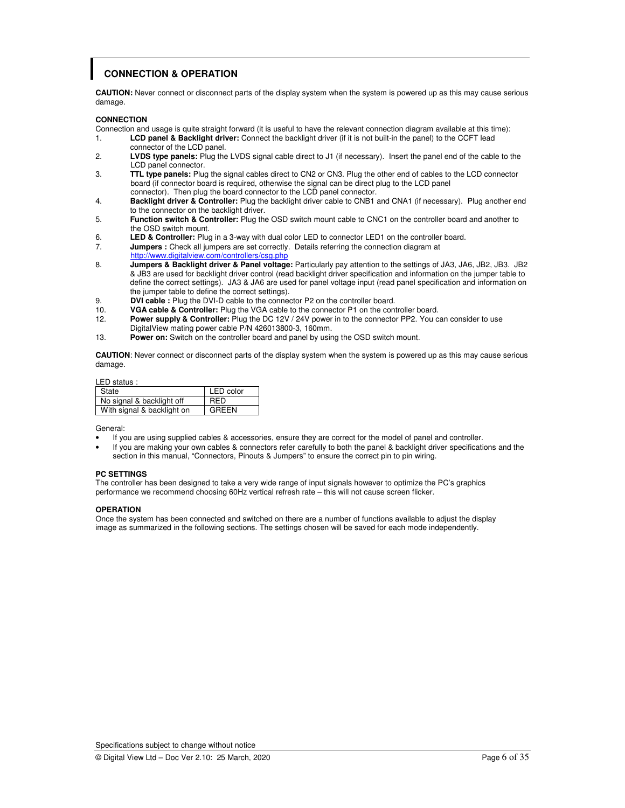# **CONNECTION & OPERATION**

**CAUTION:** Never connect or disconnect parts of the display system when the system is powered up as this may cause serious damage.

### **CONNECTION**

Connection and usage is quite straight forward (it is useful to have the relevant connection diagram available at this time):

- 1. **LCD panel & Backlight driver:** Connect the backlight driver (if it is not built-in the panel) to the CCFT lead connector of the LCD panel.
- 2. **LVDS type panels:** Plug the LVDS signal cable direct to J1 (if necessary). Insert the panel end of the cable to the **LCD panel connector.**<br>**TTL type panels:** Plus
- 3. **TTL type panels:** Plug the signal cables direct to CN2 or CN3. Plug the other end of cables to the LCD connector board (if connector board is required, otherwise the signal can be direct plug to the LCD panel connector). Then plug the board connector to the LCD panel connector.<br>4. **Backlight driver & Controller:** Plug the backlight driver cable to CNB1
- 4. **Backlight driver & Controller:** Plug the backlight driver cable to CNB1 and CNA1 (if necessary). Plug another end to the connector on the backlight driver.
- 5. **Function switch & Controller:** Plug the OSD switch mount cable to CNC1 on the controller board and another to the OSD switch mount.<br>6. **LED & Controller:** Plug
- **LED & Controller:** Plug in a 3-way with dual color LED to connector LED1 on the controller board.
- 7. **Jumpers :** Check all jumpers are set correctly. Details referring the connection diagram at
- **http://www.digitalview.com/controllers/csg.php**<br>**8. Jumpers & Backlight driver & Panel voltage**
- 8. **Jumpers & Backlight driver & Panel voltage:** Particularly pay attention to the settings of JA3, JA6, JB2, JB3. JB2 & JB3 are used for backlight driver control (read backlight driver specification and information on the jumper table to define the correct settings). JA3 & JA6 are used for panel voltage input (read panel specification and information on the jumper table to define the correct settings).
- 9. **DVI cable :** Plug the DVI-D cable to the connector P2 on the controller board.
- 10. **VGA cable & Controller:** Plug the VGA cable to the connector P1 on the controller board.
- 12. **Power supply & Controller:** Plug the DC 12V / 24V power in to the connector PP2. You can consider to use DigitalView mating power cable P/N 426013800-3, 160mm.
- 13. **Power on:** Switch on the controller board and panel by using the OSD switch mount.

**CAUTION**: Never connect or disconnect parts of the display system when the system is powered up as this may cause serious damage.

### LED status :

| LLD URRUU .                |            |
|----------------------------|------------|
| State                      | LED color  |
| No signal & backlight off  | <b>RED</b> |
| With signal & backlight on | GREEN      |

General:

- If you are using supplied cables & accessories, ensure they are correct for the model of panel and controller.
- If you are making your own cables & connectors refer carefully to both the panel & backlight driver specifications and the section in this manual, "Connectors, Pinouts & Jumpers" to ensure the correct pin to pin wiring.

### **PC SETTINGS**

The controller has been designed to take a very wide range of input signals however to optimize the PC's graphics performance we recommend choosing 60Hz vertical refresh rate – this will not cause screen flicker.

### **OPERATION**

Once the system has been connected and switched on there are a number of functions available to adjust the display image as summarized in the following sections. The settings chosen will be saved for each mode independently.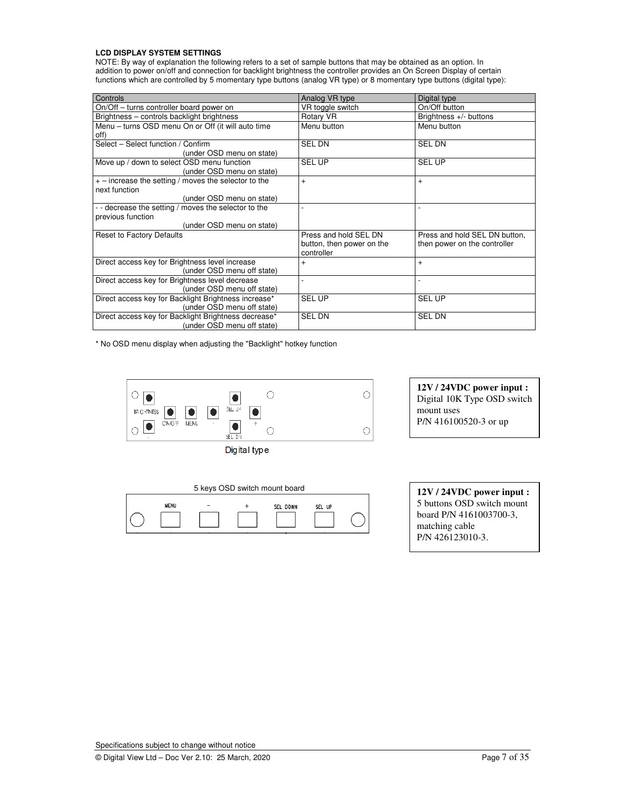### **LCD DISPLAY SYSTEM SETTINGS**

NOTE: By way of explanation the following refers to a set of sample buttons that may be obtained as an option. In addition to power on/off and connection for backlight brightness the controller provides an On Screen Display of certain functions which are controlled by 5 momentary type buttons (analog VR type) or 8 momentary type buttons (digital type):

| Controls                                                                                             | Analog VR type                                                   | Digital type                                                  |
|------------------------------------------------------------------------------------------------------|------------------------------------------------------------------|---------------------------------------------------------------|
| On/Off – turns controller board power on                                                             | VR toggle switch                                                 | On/Off button                                                 |
| Brightness - controls backlight brightness                                                           | Rotary VR                                                        | Brightness $+/-$ buttons                                      |
| Menu - turns OSD menu On or Off (it will auto time<br>off)                                           | Menu button                                                      | Menu button                                                   |
| Select - Select function / Confirm<br>(under OSD menu on state)                                      | <b>SEL DN</b>                                                    | <b>SEL DN</b>                                                 |
| Move up / down to select OSD menu function<br>(under OSD menu on state)                              | <b>SEL UP</b>                                                    | <b>SEL UP</b>                                                 |
| $+$ – increase the setting / moves the selector to the<br>next function<br>(under OSD menu on state) | $+$                                                              | $+$                                                           |
| - - decrease the setting / moves the selector to the                                                 |                                                                  |                                                               |
| previous function<br>(under OSD menu on state)                                                       |                                                                  |                                                               |
| Reset to Factory Defaults                                                                            | Press and hold SEL DN<br>button, then power on the<br>controller | Press and hold SEL DN button,<br>then power on the controller |
| Direct access key for Brightness level increase<br>(under OSD menu off state)                        | $+$                                                              | $\ddot{}$                                                     |
| Direct access key for Brightness level decrease<br>(under OSD menu off state)                        |                                                                  |                                                               |
| Direct access key for Backlight Brightness increase*<br>(under OSD menu off state)                   | <b>SEL UP</b>                                                    | <b>SEL UP</b>                                                 |
| Direct access key for Backlight Brightness decrease*<br>(under OSD menu off state)                   | <b>SEL DN</b>                                                    | <b>SEL DN</b>                                                 |

\* No OSD menu display when adjusting the "Backlight" hotkey function



Digital type



**12V / 24VDC power input :**  Digital 10K Type OSD switch mount uses P/N 416100520-3 or up

| 12V / 24VDC power input :  |
|----------------------------|
| 5 buttons OSD switch mount |
| board P/N 4161003700-3,    |
| matching cable             |
| P/N 426123010-3.           |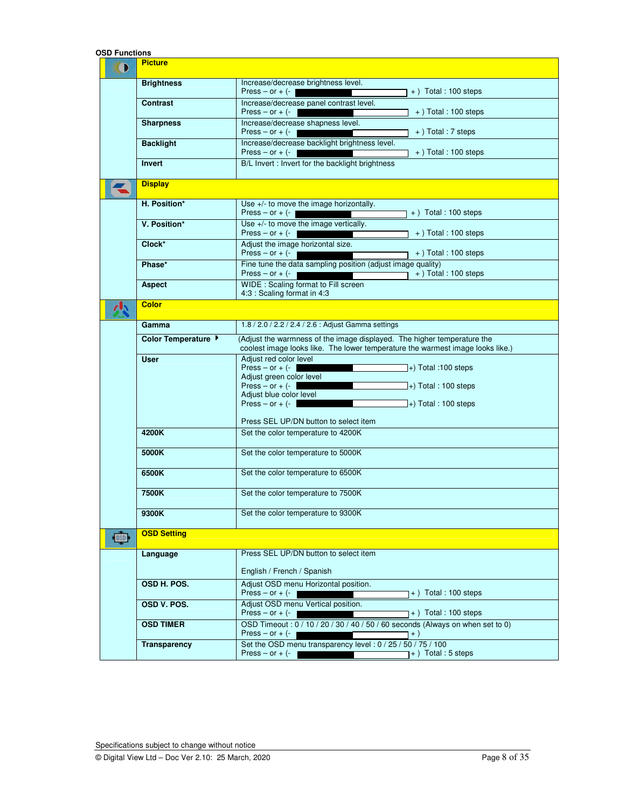| OSD Functions           |                     |                                                                                                                                                                                                                                                                                          |  |  |  |
|-------------------------|---------------------|------------------------------------------------------------------------------------------------------------------------------------------------------------------------------------------------------------------------------------------------------------------------------------------|--|--|--|
| D                       | <b>Picture</b>      |                                                                                                                                                                                                                                                                                          |  |  |  |
|                         | <b>Brightness</b>   | Increase/decrease brightness level.<br>Press – or + $(-$<br>$+$ Total : 100 steps                                                                                                                                                                                                        |  |  |  |
|                         | <b>Contrast</b>     | Increase/decrease panel contrast level.<br>Press – or $+$ $(-$<br>$+$ ) Total : 100 steps                                                                                                                                                                                                |  |  |  |
|                         | <b>Sharpness</b>    | Increase/decrease shapness level.<br>Press – or $+$ (-<br>+) Total: 7 steps                                                                                                                                                                                                              |  |  |  |
|                         | <b>Backlight</b>    | Increase/decrease backlight brightness level.<br>Press – or + $(-$<br>$+$ ) Total : 100 steps                                                                                                                                                                                            |  |  |  |
|                         | <b>Invert</b>       | B/L Invert : Invert for the backlight brightness                                                                                                                                                                                                                                         |  |  |  |
|                         | <b>Display</b>      |                                                                                                                                                                                                                                                                                          |  |  |  |
|                         | H. Position*        | Use +/- to move the image horizontally.<br>Press – or $+$ (-<br>$+$ Total : 100 steps                                                                                                                                                                                                    |  |  |  |
|                         | V. Position*        | Use +/- to move the image vertically.<br>Press – or $+$ (-<br>$+$ ) Total : 100 steps                                                                                                                                                                                                    |  |  |  |
|                         | Clock*              | Adjust the image horizontal size.<br>Press – or $+$ (-<br>$+$ ) Total : 100 steps                                                                                                                                                                                                        |  |  |  |
|                         | Phase*              | Fine tune the data sampling position (adjust image quality)<br>$+$ ) Total : 100 steps<br>Press – or $+$ (-                                                                                                                                                                              |  |  |  |
|                         | <b>Aspect</b>       | WIDE : Scaling format to Fill screen<br>4:3 : Scaling format in 4:3                                                                                                                                                                                                                      |  |  |  |
|                         | <b>Color</b>        |                                                                                                                                                                                                                                                                                          |  |  |  |
|                         | Gamma               | 1.8 / 2.0 / 2.2 / 2.4 / 2.6 : Adjust Gamma settings                                                                                                                                                                                                                                      |  |  |  |
|                         | Color Temperature   | (Adjust the warmness of the image displayed. The higher temperature the<br>coolest image looks like. The lower temperature the warmest image looks like.)                                                                                                                                |  |  |  |
|                         | <b>User</b>         | Adjust red color level<br>Press – or + $(-$<br>$\left]$ +) Total :100 steps<br>Adjust green color level<br>Press $-$ or $+$ $(-)$<br>$\ket{+}$ Total : 100 steps<br>Adjust blue color level<br>Press – or $+$ (-<br>$\ket{+}$ Total : 100 steps<br>Press SEL UP/DN button to select item |  |  |  |
|                         | 4200K               | Set the color temperature to 4200K                                                                                                                                                                                                                                                       |  |  |  |
|                         | 5000K               | Set the color temperature to 5000K                                                                                                                                                                                                                                                       |  |  |  |
|                         | 6500K               | Set the color temperature to 6500K                                                                                                                                                                                                                                                       |  |  |  |
|                         | 7500K               | Set the color temperature to 7500K                                                                                                                                                                                                                                                       |  |  |  |
|                         | 9300K               | Set the color temperature to 9300K                                                                                                                                                                                                                                                       |  |  |  |
| $\overline{\text{DSD}}$ | <b>OSD Setting</b>  |                                                                                                                                                                                                                                                                                          |  |  |  |
|                         | Language            | Press SEL UP/DN button to select item<br>English / French / Spanish                                                                                                                                                                                                                      |  |  |  |
|                         | OSD H. POS.         | Adjust OSD menu Horizontal position.<br>Press $-$ or $+$ (-<br>$+$ ) Total : 100 steps                                                                                                                                                                                                   |  |  |  |
|                         | OSD V. POS.         | Adjust OSD menu Vertical position.<br>Press – or $+$ (-<br>$+$ ) Total : 100 steps                                                                                                                                                                                                       |  |  |  |
|                         | <b>OSD TIMER</b>    | OSD Timeout: 0 / 10 / 20 / 30 / 40 / 50 / 60 seconds (Always on when set to 0)<br>Press – or $+$ (-<br>$+$ )                                                                                                                                                                             |  |  |  |
|                         | <b>Transparency</b> | Set the OSD menu transparency level: 0 / 25 / 50 / 75 / 100<br>Press – or $+$ (-<br>+) Total : 5 steps                                                                                                                                                                                   |  |  |  |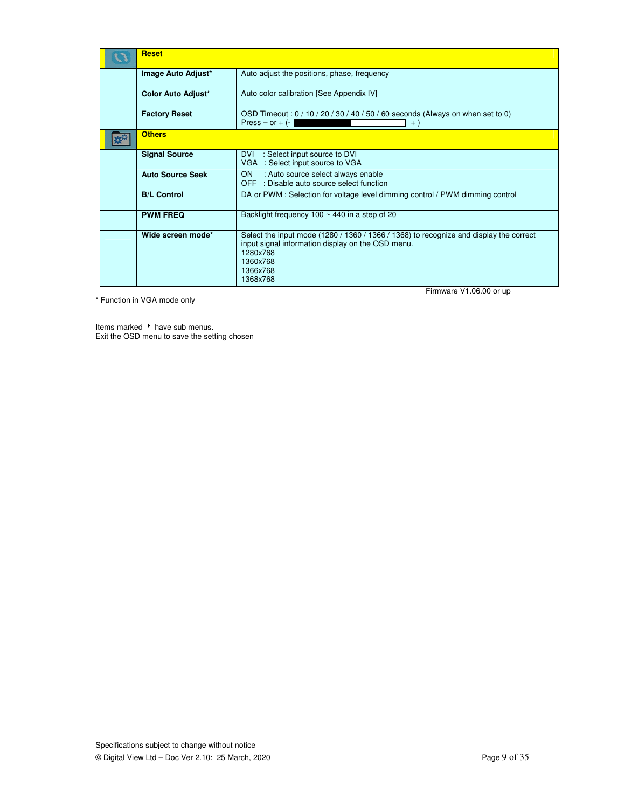| <b>Reset</b>              |                                                                                                                                                                                                               |  |  |  |  |
|---------------------------|---------------------------------------------------------------------------------------------------------------------------------------------------------------------------------------------------------------|--|--|--|--|
| Image Auto Adjust*        | Auto adjust the positions, phase, frequency                                                                                                                                                                   |  |  |  |  |
| <b>Color Auto Adjust*</b> | Auto color calibration [See Appendix IV]                                                                                                                                                                      |  |  |  |  |
| <b>Factory Reset</b>      | OSD Timeout: 0 / 10 / 20 / 30 / 40 / 50 / 60 seconds (Always on when set to 0)<br>$Press - or + (-)$<br>$+ )$                                                                                                 |  |  |  |  |
| <b>Others</b>             |                                                                                                                                                                                                               |  |  |  |  |
| <b>Signal Source</b>      | DVI<br>: Select input source to DVI<br>VGA : Select input source to VGA                                                                                                                                       |  |  |  |  |
| <b>Auto Source Seek</b>   | ON<br>: Auto source select always enable<br>OFF : Disable auto source select function                                                                                                                         |  |  |  |  |
| <b>B/L Control</b>        | DA or PWM : Selection for voltage level dimming control / PWM dimming control                                                                                                                                 |  |  |  |  |
| <b>PWM FREQ</b>           | Backlight frequency $100 \sim 440$ in a step of 20                                                                                                                                                            |  |  |  |  |
| Wide screen mode*         | Select the input mode (1280 / 1360 / 1366 / 1368) to recognize and display the correct<br>input signal information display on the OSD menu.<br>1280x768<br>1360x768<br>1366x768<br>1368x768<br>- 1<br>1112222 |  |  |  |  |

\* Function in VGA mode only

Firmware V1.06.00 or up

Items marked ▶ have sub menus. Exit the OSD menu to save the setting chosen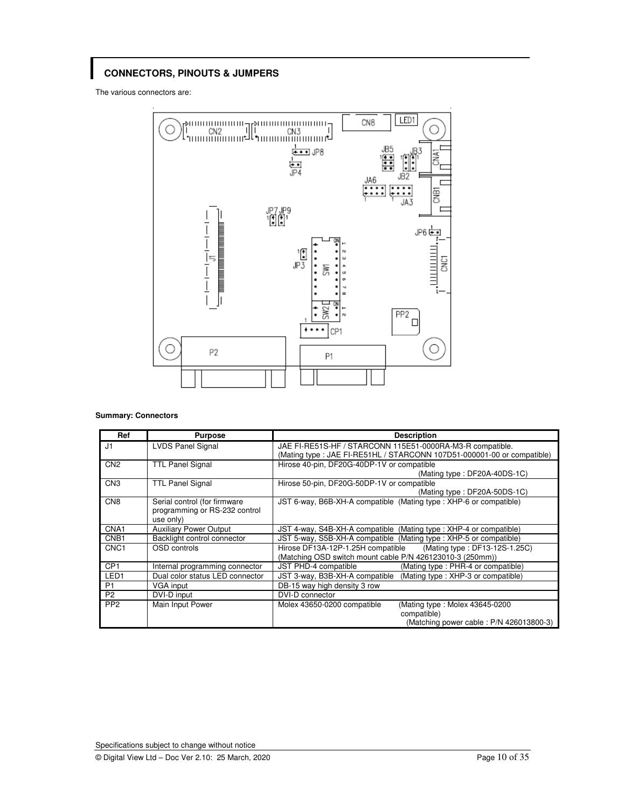# **CONNECTORS, PINOUTS & JUMPERS**

The various connectors are:



### **Summary: Connectors**

| Ref              | <b>Purpose</b>                                                             | <b>Description</b>                                                                                                                   |
|------------------|----------------------------------------------------------------------------|--------------------------------------------------------------------------------------------------------------------------------------|
| J1               | <b>LVDS Panel Signal</b>                                                   | JAE FI-RE51S-HF / STARCONN 115E51-0000RA-M3-R compatible.<br>(Mating type : JAE FI-RE51HL / STARCONN 107D51-000001-00 or compatible) |
| CN <sub>2</sub>  | <b>TTL Panel Signal</b>                                                    | Hirose 40-pin, DF20G-40DP-1V or compatible<br>(Mating type: DF20A-40DS-1C)                                                           |
| CN <sub>3</sub>  | <b>TTL Panel Signal</b>                                                    | Hirose 50-pin, DF20G-50DP-1V or compatible<br>(Mating type: DF20A-50DS-1C)                                                           |
| CN <sub>8</sub>  | Serial control (for firmware<br>programming or RS-232 control<br>use only) | JST 6-way, B6B-XH-A compatible (Mating type: XHP-6 or compatible)                                                                    |
| CNA <sub>1</sub> | <b>Auxiliary Power Output</b>                                              | JST 4-way, S4B-XH-A compatible (Mating type: XHP-4 or compatible)                                                                    |
| CNB <sub>1</sub> | Backlight control connector                                                | JST 5-way, S5B-XH-A compatible (Mating type : XHP-5 or compatible)                                                                   |
| CNC <sub>1</sub> | OSD controls                                                               | Hirose DF13A-12P-1.25H compatible (Mating type: DF13-12S-1.25C)<br>(Matching OSD switch mount cable P/N 426123010-3 (250mm))         |
| CP <sub>1</sub>  | Internal programming connector                                             | JST PHD-4 compatible<br>(Mating type: PHR-4 or compatible)                                                                           |
| LED <sub>1</sub> | Dual color status LED connector                                            | JST 3-way, B3B-XH-A compatible (Mating type: XHP-3 or compatible)                                                                    |
| P <sub>1</sub>   | VGA input                                                                  | DB-15 way high density 3 row                                                                                                         |
| P <sub>2</sub>   | DVI-D input                                                                | DVI-D connector                                                                                                                      |
| PP <sub>2</sub>  | Main Input Power                                                           | (Mating type: Molex 43645-0200)<br>Molex 43650-0200 compatible<br>compatible)<br>(Matching power cable: P/N 426013800-3)             |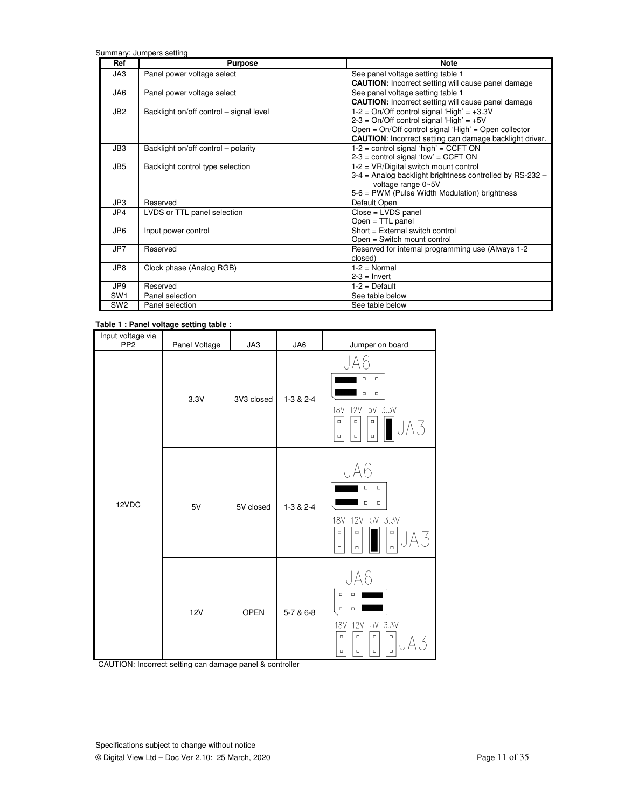Summary: Jumpers setting

| Ref             | <b>Purpose</b>                          | <b>Note</b>                                                    |
|-----------------|-----------------------------------------|----------------------------------------------------------------|
| JA3             | Panel power voltage select              | See panel voltage setting table 1                              |
|                 |                                         | <b>CAUTION:</b> Incorrect setting will cause panel damage      |
| JA6             | Panel power voltage select              | See panel voltage setting table 1                              |
|                 |                                         | <b>CAUTION:</b> Incorrect setting will cause panel damage      |
| JB <sub>2</sub> | Backlight on/off control - signal level | $1-2$ = On/Off control signal 'High' = $+3.3V$                 |
|                 |                                         | $2-3 = On/Off control signal 'High' = +5V$                     |
|                 |                                         | Open = On/Off control signal 'High' = Open collector           |
|                 |                                         | <b>CAUTION:</b> Incorrect setting can damage backlight driver. |
| JB3             | Backlight on/off control – polarity     | $1-2$ = control signal 'high' = CCFT ON                        |
|                 |                                         | $2-3$ = control signal 'low' = CCFT ON                         |
| JB <sub>5</sub> | Backlight control type selection        | $1-2 = VR/Digital switch mount control$                        |
|                 |                                         | 3-4 = Analog backlight brightness controlled by RS-232 -       |
|                 |                                         | voltage range 0~5V                                             |
|                 |                                         | 5-6 = PWM (Pulse Width Modulation) brightness                  |
| JP3             | Reserved                                | Default Open                                                   |
| JP4             | LVDS or TTL panel selection             | $Close = LVDS panel$                                           |
|                 |                                         | $Open = TTL panel$                                             |
| JP <sub>6</sub> | Input power control                     | Short = External switch control                                |
|                 |                                         | Open = Switch mount control                                    |
| JP7             | Reserved                                | Reserved for internal programming use (Always 1-2              |
|                 |                                         | closed)                                                        |
| JP8             | Clock phase (Analog RGB)                | $1-2$ = Normal                                                 |
|                 |                                         | $2-3$ = Invert                                                 |
| JP9             | Reserved                                | $1-2$ = Default                                                |
| SW <sub>1</sub> | Panel selection                         | See table below                                                |
| SW <sub>2</sub> | Panel selection                         | See table below                                                |

### **Table 1 : Panel voltage setting table :**

| Input voltage via<br>PP <sub>2</sub> | Panel Voltage | JA3         | JA6         | Jumper on board                                                                                                                                |
|--------------------------------------|---------------|-------------|-------------|------------------------------------------------------------------------------------------------------------------------------------------------|
|                                      | 3.3V          | 3V3 closed  | $1-3 & 2-4$ | JAh<br>$\Box$<br>$\Box$<br>$\Box$<br>$\Box$<br>5V 3.3V<br><b>12V</b><br><b>18V</b><br>$\Box$<br>$\Box$<br>$\Box$<br>$\Box$<br>$\Box$<br>$\Box$ |
| 12VDC                                | 5V            | 5V closed   | $1-3 & 2-4$ | JA6<br>$\Box$<br>$\Box$<br>$\Box$<br>$\Box$<br>5V 3.3V<br><b>12V</b><br><b>18V</b><br>$\Box$<br>$\Box$<br>$\Box$<br>$\Box$<br>$\Box$<br>$\Box$ |
|                                      | <b>12V</b>    | <b>OPEN</b> | 5-7 & 6-8   | $\Box$<br>$\Box$<br>$\Box$<br>$\Box$<br>5V 3.3V<br>18V 12V<br>$\Box$<br>$\Box$<br>$\Box$<br>$\Box$<br>$\Box$<br>$\Box$<br>$\Box$<br>$\Box$     |

CAUTION: Incorrect setting can damage panel & controller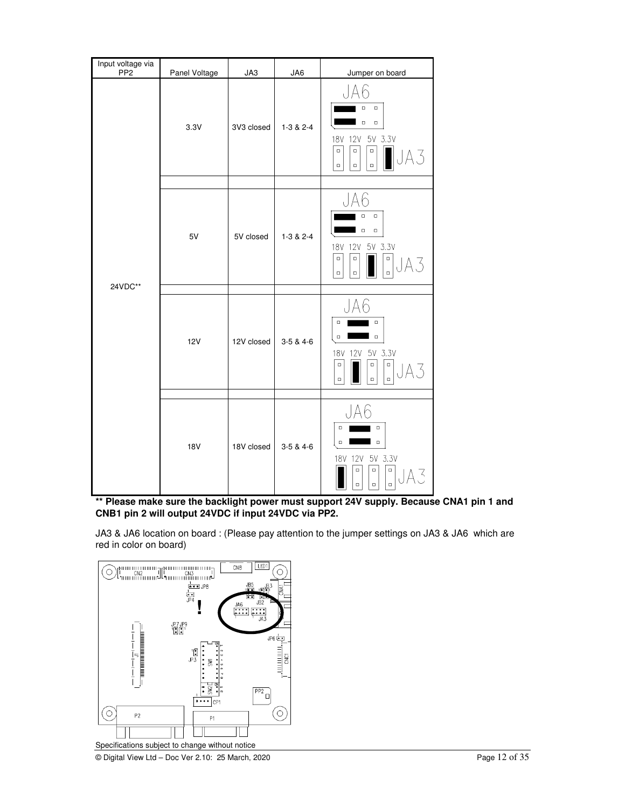| Input voltage via<br>PP <sub>2</sub> | Panel Voltage | JA3        | JA6         | Jumper on board                                                                                                                                                          |
|--------------------------------------|---------------|------------|-------------|--------------------------------------------------------------------------------------------------------------------------------------------------------------------------|
|                                      | 3.3V          | 3V3 closed | $1-3 & 2-4$ | Aĥ<br>$\Box$<br>$\Box$<br>$\Box$<br>$\Box$<br>5V 3.3V<br>18V 12V<br>$\Box$<br>$\Box$<br>$\Box$<br>$\Box$<br>$\Box$<br>$\Box$                                             |
|                                      |               |            |             |                                                                                                                                                                          |
| 24VDC**                              | 5V            | 5V closed  | $1-3 & 2-4$ | JA6<br>$\Box$<br>$\Box$<br>$\Box$<br>$\Box$<br>5V 3.3V<br>18V 12V<br>$\Box$<br>$\Box$<br>$\Box$<br>$\begin{array}{c} \square \\ \square \end{array}$<br>$\Box$<br>$\Box$ |
|                                      | <b>12V</b>    | 12V closed | $3-5 & 4-6$ | h<br>$\Box$<br>$\Box$<br>$\Box$<br>$\Box$<br>12V 5V 3.3V<br><b>18V</b><br>$\Box$<br>$\Box$<br>$\Box$<br>$\blacksquare$<br>$\Box$<br>$\Box$                               |
|                                      |               |            |             |                                                                                                                                                                          |
|                                      | <b>18V</b>    | 18V closed | $3-5 & 4-6$ | $\Box$<br>$\Box$<br>$\Box$<br>$\Box$<br>18V 12V 5V 3.3V<br>$\Box$<br>$\Box$<br>$\Box$<br>$\Box$<br>$\Box$<br>$\Box$                                                      |

**\*\* Please make sure the backlight power must support 24V supply. Because CNA1 pin 1 and CNB1 pin 2 will output 24VDC if input 24VDC via PP2.**

JA3 & JA6 location on board : (Please pay attention to the jumper settings on JA3 & JA6 which are red in color on board)

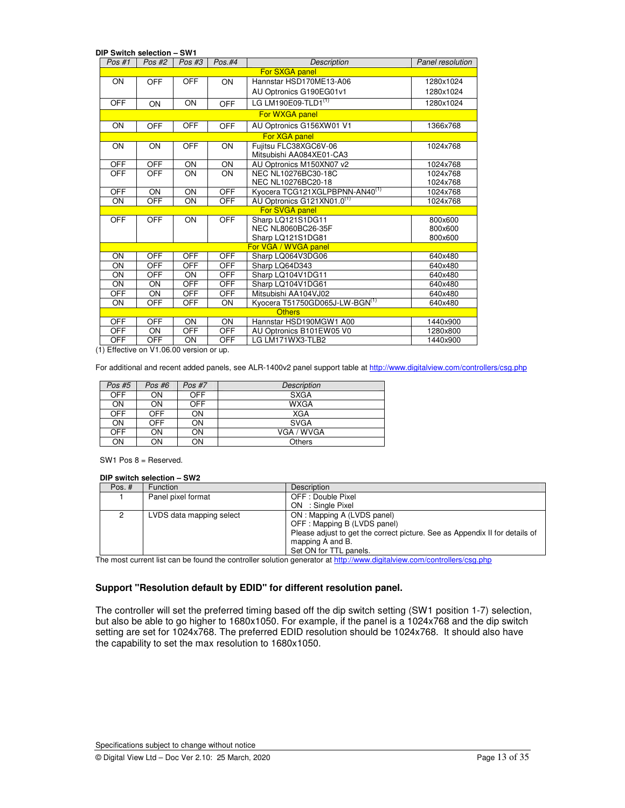| DIP Switch selection – SW1 |            |            |            |                                                   |                  |  |
|----------------------------|------------|------------|------------|---------------------------------------------------|------------------|--|
| Pos #1                     | Pos #2     | Pos #3     | Pos.#4     | <b>Description</b>                                | Panel resolution |  |
|                            |            |            |            | For SXGA panel                                    |                  |  |
| ON                         | <b>OFF</b> | <b>OFF</b> | ON         | Hannstar HSD170ME13-A06                           | 1280x1024        |  |
|                            |            |            |            | AU Optronics G190EG01v1                           | 1280x1024        |  |
| <b>OFF</b>                 | ON         | ON         | <b>OFF</b> | LG LM190E09-TLD1 <sup>(1)</sup>                   | 1280x1024        |  |
|                            |            |            |            | For WXGA panel                                    |                  |  |
| ON                         | <b>OFF</b> | <b>OFF</b> | OFF        | AU Optronics G156XW01 V1                          | 1366x768         |  |
|                            |            |            |            | For XGA panel                                     |                  |  |
| ON                         | ON         | OFF        | ON         | Fujitsu FLC38XGC6V-06<br>Mitsubishi AA084XE01-CA3 | 1024x768         |  |
| <b>OFF</b>                 | <b>OFF</b> | ON         | ON         | AU Optronics M150XN07 v2                          | 1024x768         |  |
| OFF                        | OFF        | ON         | ON         | NEC NL10276BC30-18C                               | 1024x768         |  |
|                            |            |            |            | NEC NL10276BC20-18                                | 1024x768         |  |
| <b>OFF</b>                 | ON         | ON         | <b>OFF</b> | Kyocera TCG121XGLPBPNN-AN40 <sup>(1)</sup>        | 1024x768         |  |
| ON                         | OFF        | ON         | <b>OFF</b> | AU Optronics G121XN01.0 <sup>(1)</sup>            | 1024x768         |  |
|                            |            |            |            | For SVGA panel                                    |                  |  |
| <b>OFF</b>                 | <b>OFF</b> | ON         | <b>OFF</b> | Sharp LQ121S1DG11                                 | 800×600          |  |
|                            |            |            |            | <b>NEC NL8060BC26-35F</b>                         | 800×600          |  |
|                            |            |            |            | Sharp LQ121S1DG81                                 | 800x600          |  |
|                            |            |            |            | For VGA / WVGA panel                              |                  |  |
| ON                         | <b>OFF</b> | <b>OFF</b> | <b>OFF</b> | Sharp LQ064V3DG06                                 | 640x480          |  |
| ON                         | <b>OFF</b> | <b>OFF</b> | <b>OFF</b> | Sharp LQ64D343                                    | 640x480          |  |
| ON                         | <b>OFF</b> | ON         | OFF        | Sharp LQ104V1DG11                                 | 640x480          |  |
| ON                         | ON         | <b>OFF</b> | <b>OFF</b> | Sharp LQ104V1DG61                                 | 640x480          |  |
| OFF                        | ON         | <b>OFF</b> | <b>OFF</b> | Mitsubishi AA104VJ02                              | 640x480          |  |
| ON                         | <b>OFF</b> | <b>OFF</b> | ON         | Kyocera T51750GD065J-LW-BGN(1)                    | 640x480          |  |
|                            |            |            |            | <b>Others</b>                                     |                  |  |
| <b>OFF</b>                 | <b>OFF</b> | ON         | ON         | Hannstar HSD190MGW1 A00                           | 1440×900         |  |
| <b>OFF</b>                 | ON         | OFF        | <b>OFF</b> | AU Optronics B101EW05 V0                          | 1280x800         |  |
| <b>OFF</b>                 | <b>OFF</b> | ON         | <b>OFF</b> | LG LM171WX3-TLB2                                  | 1440×900         |  |

(1) Effective on V1.06.00 version or up.

For additional and recent added panels, see ALR-1400v2 panel support table at http://www.digitalview.com/controllers/csg.php

| Pos #5     | $Pos$ #6 | Pos #7 | <b>Description</b> |
|------------|----------|--------|--------------------|
| <b>OFF</b> | OΝ       | OFF    | <b>SXGA</b>        |
| ON         | OΝ       | OFF    | <b>WXGA</b>        |
| OFF        | OFF      | ON     | <b>XGA</b>         |
| ON         | OFF      | ΟN     | <b>SVGA</b>        |
| OFF        | OΝ       | ON     | VGA / WVGA         |
| ΟN         | ΟN       | ΟN     | <b>Others</b>      |

SW1 Pos 8 = Reserved.

### **DIP switch selection – SW2**

| Pos. $#$ | <b>Function</b>          | Description                                                                 |
|----------|--------------------------|-----------------------------------------------------------------------------|
|          | Panel pixel format       | OFF : Double Pixel                                                          |
|          |                          | ON : Single Pixel                                                           |
| 2        | LVDS data mapping select | ON: Mapping A (LVDS panel)                                                  |
|          |                          | OFF: Mapping B (LVDS panel)                                                 |
|          |                          | Please adjust to get the correct picture. See as Appendix II for details of |
|          |                          | mapping A and B.                                                            |
|          |                          | Set ON for TTL panels.                                                      |

The most current list can be found the controller solution generator at http://www.digitalview.com/controllers/csg.php

### **Support "Resolution default by EDID" for different resolution panel.**

The controller will set the preferred timing based off the dip switch setting (SW1 position 1-7) selection, but also be able to go higher to 1680x1050. For example, if the panel is a 1024x768 and the dip switch setting are set for 1024x768. The preferred EDID resolution should be 1024x768. It should also have the capability to set the max resolution to 1680x1050.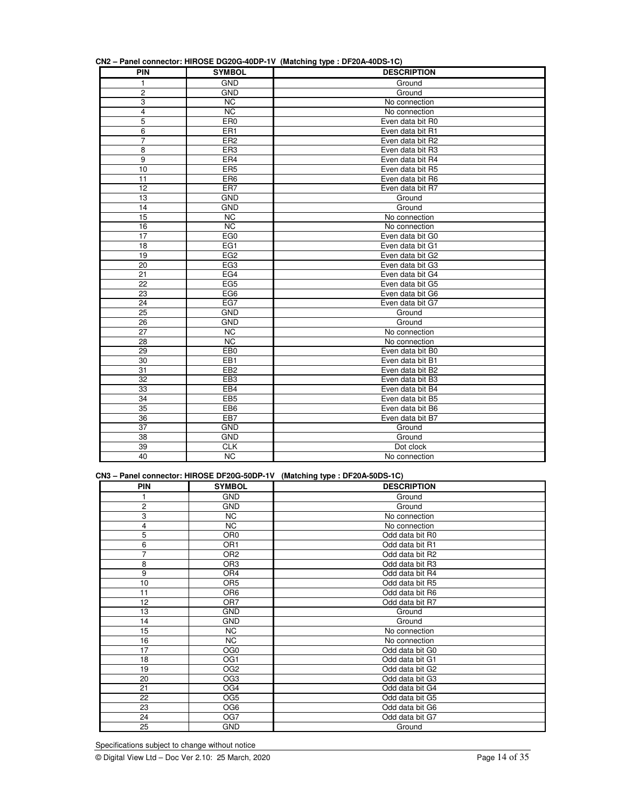|  | CN2 - Panel connector: HIROSE DG20G-40DP-1V (Matching type : DF20A-40DS-1C) |  |  |  |  |
|--|-----------------------------------------------------------------------------|--|--|--|--|
|  |                                                                             |  |  |  |  |

|                         |                 | $O(12 - 1)$ and connector. Introduced to the control in $\sqrt{100}$ (matering type). Dr zon-fobo-to $\sqrt{100}$ |
|-------------------------|-----------------|-------------------------------------------------------------------------------------------------------------------|
| PIN                     | <b>SYMBOL</b>   | <b>DESCRIPTION</b>                                                                                                |
| $\mathbf{1}$            | <b>GND</b>      | Ground                                                                                                            |
| 2                       | <b>GND</b>      | Ground                                                                                                            |
| 3                       | <b>NC</b>       | No connection                                                                                                     |
| $\overline{\mathbf{4}}$ | <b>NC</b>       | No connection                                                                                                     |
| 5                       | ER <sub>0</sub> | Even data bit R0                                                                                                  |
| 6                       | ER <sub>1</sub> | Even data bit R1                                                                                                  |
| $\overline{7}$          | ER <sub>2</sub> | Even data bit R2                                                                                                  |
| 8                       | ER3             | Even data bit R3                                                                                                  |
| 9                       | ER4             | Even data bit R4                                                                                                  |
| 10                      | ER <sub>5</sub> | Even data bit R5                                                                                                  |
| 11                      | ER <sub>6</sub> | Even data bit R6                                                                                                  |
| 12                      | ER7             | Even data bit R7                                                                                                  |
| 13                      | <b>GND</b>      | Ground                                                                                                            |
| 14                      | <b>GND</b>      | Ground                                                                                                            |
| 15                      | <b>NC</b>       | No connection                                                                                                     |
| 16                      | <b>NC</b>       | No connection                                                                                                     |
| 17                      | EG <sub>0</sub> | Even data bit G0                                                                                                  |
| 18                      | EG1             | Even data bit G1                                                                                                  |
| 19                      | EG <sub>2</sub> | Even data bit G2                                                                                                  |
| 20                      | EG <sub>3</sub> | Even data bit G3                                                                                                  |
| 21                      | EG4             | Even data bit G4                                                                                                  |
| 22                      | EG <sub>5</sub> | Even data bit G5                                                                                                  |
| 23                      | EG <sub>6</sub> | Even data bit G6                                                                                                  |
| 24                      | EG7             | Even data bit G7                                                                                                  |
| 25                      | <b>GND</b>      | Ground                                                                                                            |
| 26                      | <b>GND</b>      | Ground                                                                                                            |
| 27                      | <b>NC</b>       | No connection                                                                                                     |
| 28                      | <b>NC</b>       | No connection                                                                                                     |
| 29                      | EB <sub>0</sub> | Even data bit B0                                                                                                  |
| 30                      | EB1             | Even data bit B1                                                                                                  |
| 31                      | EB <sub>2</sub> | Even data bit B2                                                                                                  |
| 32                      | EB <sub>3</sub> | Even data bit B3                                                                                                  |
| 33                      | EB4             | Even data bit B4                                                                                                  |
| 34                      | EB <sub>5</sub> | Even data bit B5                                                                                                  |
| 35                      | EB <sub>6</sub> | Even data bit B6                                                                                                  |
| 36                      | EB7             | Even data bit B7                                                                                                  |
| 37                      | <b>GND</b>      | Ground                                                                                                            |
| 38                      | <b>GND</b>      | Ground                                                                                                            |
| 39                      | <b>CLK</b>      | Dot clock                                                                                                         |
| 40                      | <b>NC</b>       | No connection                                                                                                     |

### **CN3 – Panel connector: HIROSE DF20G-50DP-1V (Matching type : DF20A-50DS-1C)**

| <b>PIN</b>      | <b>SYMBOL</b>   | <b>DESCRIPTION</b> |
|-----------------|-----------------|--------------------|
|                 | <b>GND</b>      | Ground             |
| 2               | <b>GND</b>      | Ground             |
| 3               | <b>NC</b>       | No connection      |
| 4               | <b>NC</b>       | No connection      |
| 5               | OR <sub>0</sub> | Odd data bit R0    |
| 6               | OR <sub>1</sub> | Odd data bit R1    |
| 7               | OR <sub>2</sub> | Odd data bit R2    |
| 8               | OR <sub>3</sub> | Odd data bit R3    |
| 9               | OR4             | Odd data bit R4    |
| 10              | OR <sub>5</sub> | Odd data bit R5    |
| 11              | OR <sub>6</sub> | Odd data bit R6    |
| 12              | OR <sub>7</sub> | Odd data bit R7    |
| 13              | <b>GND</b>      | Ground             |
| 14              | <b>GND</b>      | Ground             |
| 15              | <b>NC</b>       | No connection      |
| 16              | <b>NC</b>       | No connection      |
| 17              | OG <sub>0</sub> | Odd data bit G0    |
| 18              | OG <sub>1</sub> | Odd data bit G1    |
| 19              | OG <sub>2</sub> | Odd data bit G2    |
| 20              | OG <sub>3</sub> | Odd data bit G3    |
| $\overline{21}$ | OG4             | Odd data bit G4    |
| 22              | OG <sub>5</sub> | Odd data bit G5    |
| 23              | OG <sub>6</sub> | Odd data bit G6    |
| 24              | OG7             | Odd data bit G7    |
| 25              | <b>GND</b>      | Ground             |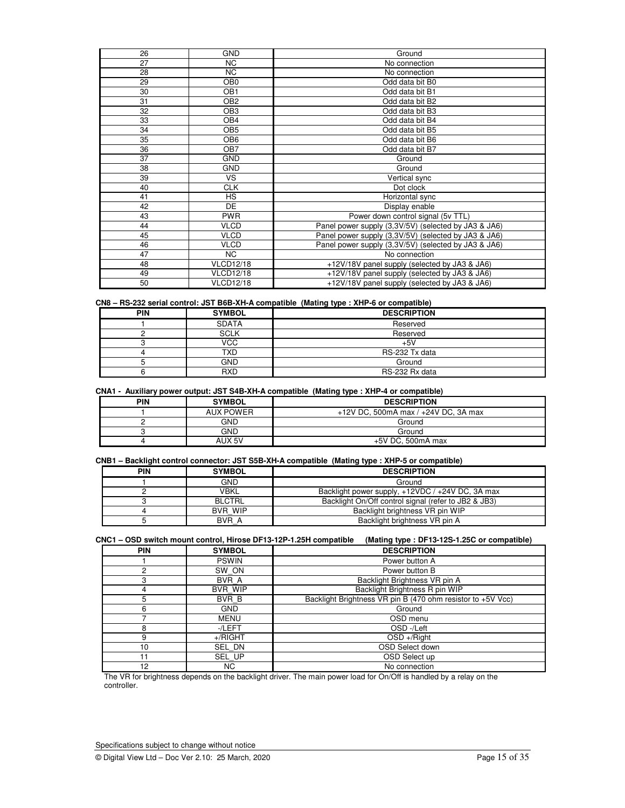| 26 | <b>GND</b>       | Ground                                               |
|----|------------------|------------------------------------------------------|
| 27 | <b>NC</b>        | No connection                                        |
| 28 | NC.              | No connection                                        |
| 29 | OB <sub>0</sub>  | Odd data bit B0                                      |
| 30 | OB <sub>1</sub>  | Odd data bit B1                                      |
| 31 | OB <sub>2</sub>  | Odd data bit B2                                      |
| 32 | OB <sub>3</sub>  | Odd data bit B3                                      |
| 33 | OB4              | Odd data bit B4                                      |
| 34 | OB <sub>5</sub>  | Odd data bit B5                                      |
| 35 | OB6              | Odd data bit B6                                      |
| 36 | OB7              | Odd data bit B7                                      |
| 37 | <b>GND</b>       | Ground                                               |
| 38 | <b>GND</b>       | Ground                                               |
| 39 | VS.              | Vertical sync                                        |
| 40 | <b>CLK</b>       | Dot clock                                            |
| 41 | <b>HS</b>        | Horizontal sync                                      |
| 42 | DE               | Display enable                                       |
| 43 | <b>PWR</b>       | Power down control signal (5v TTL)                   |
| 44 | <b>VLCD</b>      | Panel power supply (3,3V/5V) (selected by JA3 & JA6) |
| 45 | <b>VLCD</b>      | Panel power supply (3,3V/5V) (selected by JA3 & JA6) |
| 46 | <b>VLCD</b>      | Panel power supply (3,3V/5V) (selected by JA3 & JA6) |
| 47 | NC.              | No connection                                        |
| 48 | <b>VLCD12/18</b> | +12V/18V panel supply (selected by JA3 & JA6)        |
| 49 | <b>VLCD12/18</b> | +12V/18V panel supply (selected by JA3 & JA6)        |
| 50 | <b>VLCD12/18</b> | +12V/18V panel supply (selected by JA3 & JA6)        |

### **CN8 – RS-232 serial control: JST B6B-XH-A compatible (Mating type : XHP-6 or compatible)**

| <b>PIN</b> | <b>SYMBOL</b> | <b>DESCRIPTION</b> |
|------------|---------------|--------------------|
|            | <b>SDATA</b>  | Reserved           |
|            | <b>SCLK</b>   | Reserved           |
|            | <b>VCC</b>    | $+5V$              |
|            | TXD           | RS-232 Tx data     |
|            | <b>GND</b>    | Ground             |
|            | <b>RXD</b>    | RS-232 Rx data     |

### **CNA1 - Auxiliary power output: JST S4B-XH-A compatible (Mating type : XHP-4 or compatible)**

| PIN<br><b>SYMBOL</b> |        | <b>DESCRIPTION</b>                   |  |
|----------------------|--------|--------------------------------------|--|
| <b>AUX POWER</b>     |        | +12V DC, 500mA max / +24V DC, 3A max |  |
| GND                  |        | Ground                               |  |
| GND                  |        | Ground                               |  |
|                      | AUX 5V | $+5V$ DC. 500mA max                  |  |

### **CNB1 – Backlight control connector: JST S5B-XH-A compatible (Mating type : XHP-5 or compatible)**

| PIN                                                                                                                                                    | <b>SYMBOL</b>                                            | <b>DESCRIPTION</b> |  |
|--------------------------------------------------------------------------------------------------------------------------------------------------------|----------------------------------------------------------|--------------------|--|
|                                                                                                                                                        | <b>GND</b><br>Ground                                     |                    |  |
|                                                                                                                                                        | VBKL<br>Backlight power supply, +12VDC / +24V DC, 3A max |                    |  |
| Backlight On/Off control signal (refer to JB2 & JB3)<br>BLCTRL<br>BVR WIP<br>Backlight brightness VR pin WIP<br>BVR A<br>Backlight brightness VR pin A |                                                          |                    |  |
|                                                                                                                                                        |                                                          |                    |  |
|                                                                                                                                                        |                                                          |                    |  |

| CNC1 – OSD switch mount control, Hirose DF13-12P-1.25H compatible (Mating type : DF13-12S-1.25C or compatible) |  |
|----------------------------------------------------------------------------------------------------------------|--|
|----------------------------------------------------------------------------------------------------------------|--|

| <b>PIN</b> | <b>SYMBOL</b>  | <b>DESCRIPTION</b>                                          |  |  |
|------------|----------------|-------------------------------------------------------------|--|--|
|            | <b>PSWIN</b>   | Power button A                                              |  |  |
| ⌒          | SW ON          | Power button B                                              |  |  |
| 3          | BVR A          | Backlight Brightness VR pin A                               |  |  |
| 4          | <b>BVR WIP</b> | Backlight Brightness R pin WIP                              |  |  |
| 5          | BVR B          | Backlight Brightness VR pin B (470 ohm resistor to +5V Vcc) |  |  |
| 6          | <b>GND</b>     | Ground                                                      |  |  |
|            | <b>MENU</b>    | OSD menu                                                    |  |  |
| 8          | -/LEFT         | OSD-/Left                                                   |  |  |
| 9          | $+$ /RIGHT     | $OSD + /$ Right                                             |  |  |
| 10         | SEL DN         | OSD Select down                                             |  |  |
| 11         | SEL UP         | OSD Select up                                               |  |  |
| 12         | NC.            | No connection                                               |  |  |

The VR for brightness depends on the backlight driver. The main power load for On/Off is handled by a relay on the controller.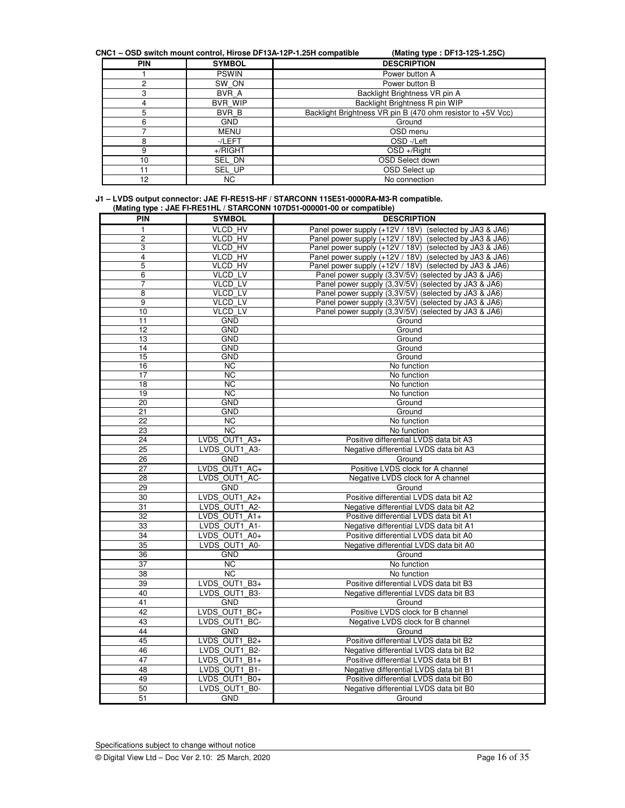**CNC1 – OSD switch mount control, Hirose DF13A-12P-1.25H compatible (Mating type : DF13-12S-1.25C)** 

| <b>PIN</b> | <b>SYMBOL</b>  | <b>DESCRIPTION</b>                                          |
|------------|----------------|-------------------------------------------------------------|
|            | <b>PSWIN</b>   | Power button A                                              |
| 2          | SW ON          | Power button B                                              |
| 3          | BVR A          | Backlight Brightness VR pin A                               |
|            | <b>BVR WIP</b> | Backlight Brightness R pin WIP                              |
| 5          | BVR B          | Backlight Brightness VR pin B (470 ohm resistor to +5V Vcc) |
| 6          | <b>GND</b>     | Ground                                                      |
|            | <b>MENU</b>    | OSD menu                                                    |
| 8          | -/LEFT         | OSD-/Left                                                   |
| 9          | $+$ /RIGHT     | $OSD + /$ Right                                             |
| 10         | SEL DN         | OSD Select down                                             |
| 11         | SEL UP         | OSD Select up                                               |
| 12         | NC.            | No connection                                               |

| J1 – LVDS output connector: JAE FI-RE51S-HF / STARCONN 115E51-0000RA-M3-R compatible. |  |  |
|---------------------------------------------------------------------------------------|--|--|
| (Mating type : JAE FI-RE51HL / STARCONN 107D51-000001-00 or compatible)               |  |  |

|            |                 | wathly type. UAL TI-REJITIE / JTAROUNN TU/DJI-000001-00 OF COMPATIDIE/ |  |
|------------|-----------------|------------------------------------------------------------------------|--|
| <b>PIN</b> | <b>SYMBOL</b>   | <b>DESCRIPTION</b>                                                     |  |
| 1          | <b>VLCD HV</b>  | Panel power supply (+12V / 18V) (selected by JA3 & JA6)                |  |
| 2          | <b>VLCD HV</b>  | Panel power supply (+12V / 18V) (selected by JA3 & JA6)                |  |
| 3          | <b>VLCD HV</b>  | Panel power supply (+12V / 18V) (selected by JA3 & JA6)                |  |
| 4          | <b>VLCD HV</b>  | Panel power supply (+12V / 18V) (selected by JA3 & JA6)                |  |
| 5          | <b>VLCD HV</b>  | Panel power supply (+12V / 18V) (selected by JA3 & JA6)                |  |
| 6          | <b>VLCD LV</b>  | Panel power supply (3,3V/5V) (selected by JA3 & JA6)                   |  |
| 7          | <b>VLCD LV</b>  | Panel power supply (3,3V/5V) (selected by JA3 & JA6)                   |  |
| 8          | <b>VLCD LV</b>  | Panel power supply (3,3V/5V) (selected by JA3 & JA6)                   |  |
| 9          | <b>VLCD LV</b>  | Panel power supply (3,3V/5V) (selected by JA3 & JA6)                   |  |
| 10         | <b>VLCD LV</b>  | Panel power supply (3,3V/5V) (selected by JA3 & JA6)                   |  |
| 11         | <b>GND</b>      | Ground                                                                 |  |
| 12         | <b>GND</b>      | Ground                                                                 |  |
| 13         | <b>GND</b>      | Ground                                                                 |  |
| 14         | <b>GND</b>      | Ground                                                                 |  |
| 15         | <b>GND</b>      | Ground                                                                 |  |
| 16         | <b>NC</b>       | No function                                                            |  |
| 17         | <b>NC</b>       | No function                                                            |  |
| 18         | <b>NC</b>       | No function                                                            |  |
| 19         | <b>NC</b>       | No function                                                            |  |
| 20         | <b>GND</b>      | Ground                                                                 |  |
| 21         | <b>GND</b>      | Ground                                                                 |  |
| 22         | <b>NC</b>       | No function                                                            |  |
|            | <b>NC</b>       |                                                                        |  |
| 23         |                 | No function                                                            |  |
| 24         | LVDS_OUT1_A3+   | Positive differential LVDS data bit A3                                 |  |
| 25         | LVDS OUT1 A3-   | Negative differential LVDS data bit A3                                 |  |
| 26         | <b>GND</b>      | Ground                                                                 |  |
| 27         | LVDS OUT1 AC+   | Positive LVDS clock for A channel                                      |  |
| 28         | LVDS OUT1 AC-   | Negative LVDS clock for A channel                                      |  |
| 29         | <b>GND</b>      | Ground                                                                 |  |
| 30         | LVDS OUT1 A2+   | Positive differential LVDS data bit A2                                 |  |
| 31         | LVDS_OUT1_A2-   | Negative differential LVDS data bit A2                                 |  |
| 32         | LVDS OUT1 $A1+$ | Positive differential LVDS data bit A1                                 |  |
| 33         | LVDS OUT1 A1-   | Negative differential LVDS data bit A1                                 |  |
| 34         | LVDS OUT1 A0+   | Positive differential LVDS data bit A0                                 |  |
| 35         | LVDS OUT1 A0-   | Negative differential LVDS data bit A0                                 |  |
| 36         | <b>GND</b>      | Ground                                                                 |  |
| 37         | $\overline{NC}$ | No function                                                            |  |
| 38         | <b>NC</b>       | No function                                                            |  |
| 39         | LVDS OUT1 B3+   | Positive differential LVDS data bit B3                                 |  |
|            |                 |                                                                        |  |
| 40         | LVDS OUT1 B3-   | Negative differential LVDS data bit B3                                 |  |
| 41         | <b>GND</b>      | Ground                                                                 |  |
| 42         | LVDS OUT1 BC+   | Positive LVDS clock for B channel                                      |  |
| 43         | LVDS OUT1 BC-   | Negative LVDS clock for B channel                                      |  |
| 44         | GND             | Ground                                                                 |  |
| 45         | LVDS OUT1 B2+   | Positive differential LVDS data bit B2                                 |  |
| 46         | LVDS OUT1 B2-   | Negative differential LVDS data bit B2                                 |  |
| 47         | LVDS OUT1 B1+   | Positive differential LVDS data bit B1                                 |  |
| 48         | LVDS OUT1 B1-   | Negative differential LVDS data bit B1                                 |  |
| 49         | LVDS OUT1 B0+   | Positive differential LVDS data bit B0                                 |  |
| 50         | LVDS OUT1 B0-   | Negative differential LVDS data bit B0                                 |  |
| 51         | <b>GND</b>      | Ground                                                                 |  |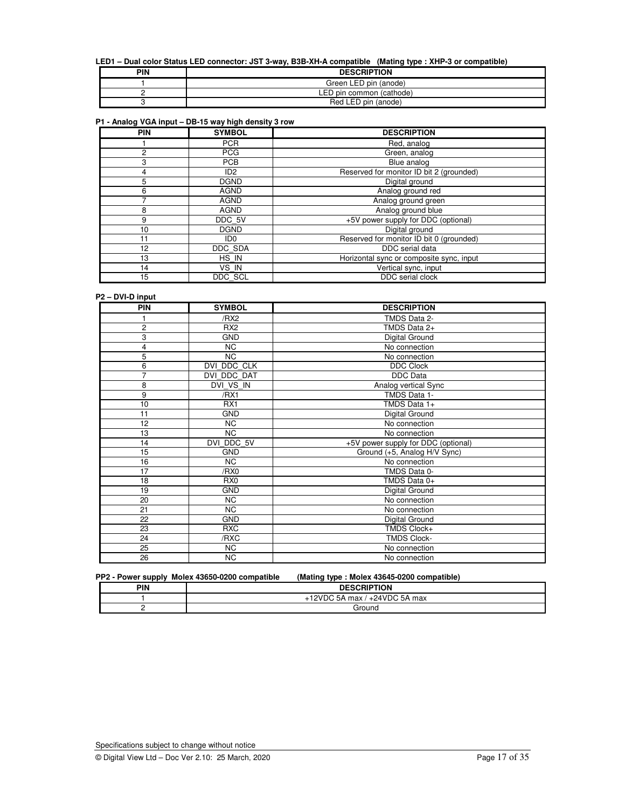### **LED1 – Dual color Status LED connector: JST 3-way, B3B-XH-A compatible (Mating type : XHP-3 or compatible)**

| PIN | <b>DESCRIPTION</b>       |
|-----|--------------------------|
|     | Green LED pin (anode)    |
|     | LED pin common (cathode) |
|     | Red LED<br>pin (anode)   |

### **P1 - Analog VGA input – DB-15 way high density 3 row**

| <b>PIN</b> | <b>SYMBOL</b>   | <b>DESCRIPTION</b>                       |
|------------|-----------------|------------------------------------------|
|            | <b>PCR</b>      | Red, analog                              |
| 2          | <b>PCG</b>      | Green, analog                            |
| 3          | <b>PCB</b>      | Blue analog                              |
| 4          | ID <sub>2</sub> | Reserved for monitor ID bit 2 (grounded) |
| 5          | <b>DGND</b>     | Digital ground                           |
| 6          | AGND            | Analog ground red                        |
|            | AGND            | Analog ground green                      |
| 8          | <b>AGND</b>     | Analog ground blue                       |
| 9          | DDC 5V          | +5V power supply for DDC (optional)      |
| 10         | <b>DGND</b>     | Digital ground                           |
| 11         | ID <sub>0</sub> | Reserved for monitor ID bit 0 (grounded) |
| 12         | DDC SDA         | DDC serial data                          |
| 13         | HS IN           | Horizontal sync or composite sync, input |
| 14         | VS IN           | Vertical sync, input                     |
| 15         | DDC SCL         | DDC serial clock                         |

### **P2 – DVI-D input**

| PIN                     | <b>SYMBOL</b>   | <b>DESCRIPTION</b>                  |
|-------------------------|-----------------|-------------------------------------|
|                         | /RX2            | TMDS Data 2-                        |
| 2                       | RX <sub>2</sub> | TMDS Data 2+                        |
| 3                       | <b>GND</b>      | Digital Ground                      |
| $\overline{\mathbf{4}}$ | NC              | No connection                       |
| 5                       | $\overline{NC}$ | No connection                       |
| 6                       | DVI DDC CLK     | <b>DDC Clock</b>                    |
| 7                       | DVI DDC DAT     | DDC Data                            |
| 8                       | DVI_VS_IN       | Analog vertical Sync                |
| 9                       | /RX1            | TMDS Data 1-                        |
| 10                      | RX1             | TMDS Data 1+                        |
| 11                      | <b>GND</b>      | Digital Ground                      |
| 12                      | NC              | No connection                       |
| 13                      | <b>NC</b>       | No connection                       |
| 14                      | DVI DDC 5V      | +5V power supply for DDC (optional) |
| 15                      | <b>GND</b>      | Ground (+5, Analog H/V Sync)        |
| 16                      | NC              | No connection                       |
| 17                      | /RX0            | TMDS Data 0-                        |
| 18                      | RX <sub>0</sub> | TMDS Data 0+                        |
| 19                      | <b>GND</b>      | Digital Ground                      |
| 20                      | NC              | No connection                       |
| 21                      | <b>NC</b>       | No connection                       |
| 22                      | <b>GND</b>      | Digital Ground                      |
| 23                      | <b>RXC</b>      | TMDS Clock+                         |
| 24                      | /RXC            | <b>TMDS Clock-</b>                  |
| 25                      | NC              | No connection                       |
| 26                      | NC              | No connection                       |

|     | PP2 - Power supply Molex 43650-0200 compatible | (Mating type: Molex 43645-0200 compatible) |  |
|-----|------------------------------------------------|--------------------------------------------|--|
| PIN |                                                | <b>DESCRIPTION</b>                         |  |
|     |                                                | $+12$ VDC 5A max / $+24$ VDC 5A max        |  |
|     |                                                | Ground                                     |  |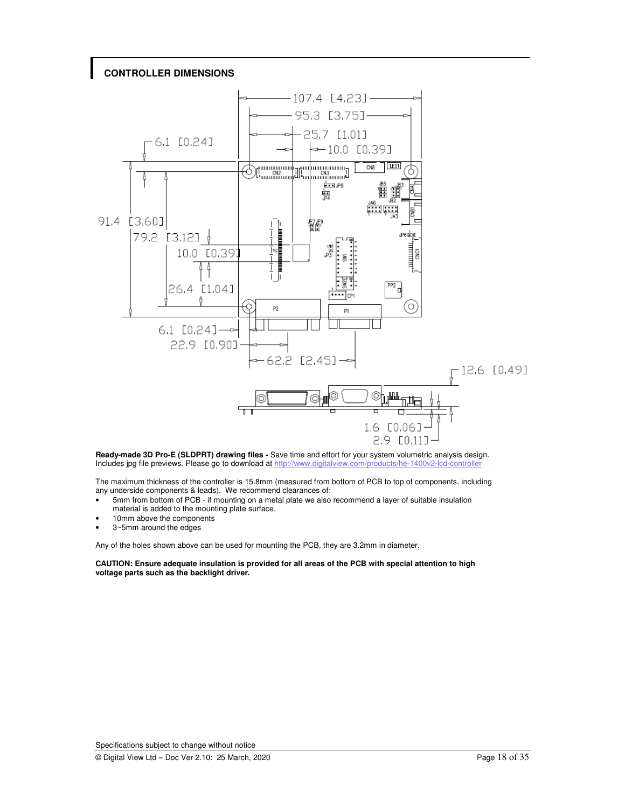# **CONTROLLER DIMENSIONS**



**Ready-made 3D Pro-E (SLDPRT) drawing files -** Save time and effort for your system volumetric analysis design. Includes jpg file previews. Please go to download at http://www.digitalview.com/products/he-1400v2-lcd-controller

The maximum thickness of the controller is 15.8mm (measured from bottom of PCB to top of components, including any underside components & leads). We recommend clearances of:

- 5mm from bottom of PCB if mounting on a metal plate we also recommend a layer of suitable insulation
- material is added to the mounting plate surface.
- 10mm above the components
- 3~5mm around the edges

Any of the holes shown above can be used for mounting the PCB, they are 3.2mm in diameter.

**CAUTION: Ensure adequate insulation is provided for all areas of the PCB with special attention to high voltage parts such as the backlight driver.**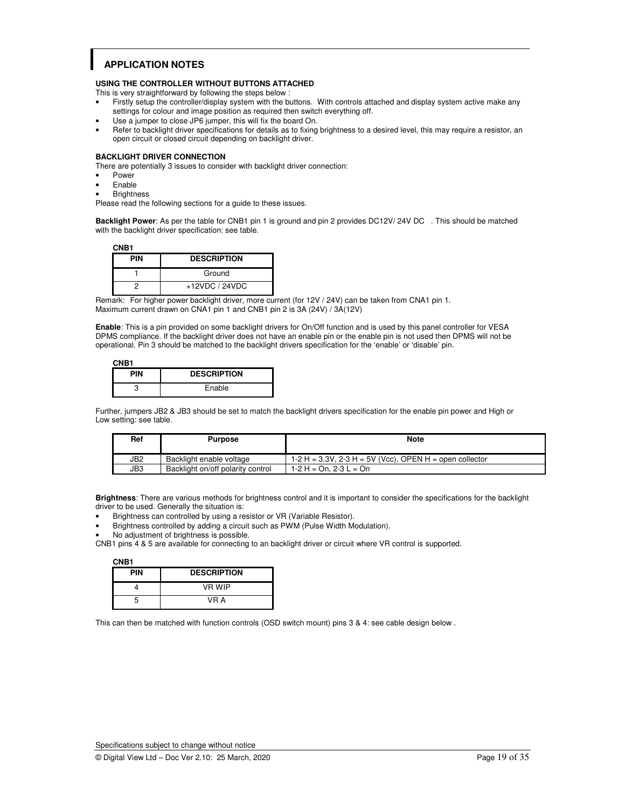# **APPLICATION NOTES**

### **USING THE CONTROLLER WITHOUT BUTTONS ATTACHED**

This is very straightforward by following the steps below :

- Firstly setup the controller/display system with the buttons. With controls attached and display system active make any settings for colour and image position as required then switch everything off.
- Use a jumper to close JP6 jumper, this will fix the board On.
- Refer to backlight driver specifications for details as to fixing brightness to a desired level, this may require a resistor, an open circuit or closed circuit depending on backlight driver.

### **BACKLIGHT DRIVER CONNECTION**

There are potentially 3 issues to consider with backlight driver connection:

- **Power**
- Enable
- **Brightness**

Please read the following sections for a guide to these issues.

**Backlight Power**: As per the table for CNB1 pin 1 is ground and pin 2 provides DC12V/ 24V DC . This should be matched with the backlight driver specification: see table.

| CNB1       |                    |  |
|------------|--------------------|--|
| <b>PIN</b> | <b>DESCRIPTION</b> |  |
|            | Ground             |  |
|            | $+12VDC / 24VDC$   |  |

Remark: For higher power backlight driver, more current (for 12V / 24V) can be taken from CNA1 pin 1. Maximum current drawn on CNA1 pin 1 and CNB1 pin 2 is 3A (24V) / 3A(12V)

**Enable**: This is a pin provided on some backlight drivers for On/Off function and is used by this panel controller for VESA DPMS compliance. If the backlight driver does not have an enable pin or the enable pin is not used then DPMS will not be operational. Pin 3 should be matched to the backlight drivers specification for the 'enable' or 'disable' pin.

| CNB <sub>1</sub> |                    |
|------------------|--------------------|
| PIN              | <b>DESCRIPTION</b> |
|                  | Enable             |

Further, jumpers JB2 & JB3 should be set to match the backlight drivers specification for the enable pin power and High or Low setting: see table.

| Ref | <b>Purpose</b>                    | Note                                                      |
|-----|-----------------------------------|-----------------------------------------------------------|
| JB2 | Backlight enable voltage          | $1-2$ H = 3.3V, 2-3 H = 5V (Vcc), OPEN H = open collector |
| JB3 | Backlight on/off polarity control | 1-2 H = On. 2-3 L = On                                    |

**Brightness**: There are various methods for brightness control and it is important to consider the specifications for the backlight driver to be used. Generally the situation is:

- Brightness can controlled by using a resistor or VR (Variable Resistor).
- Brightness controlled by adding a circuit such as PWM (Pulse Width Modulation).
- No adjustment of brightness is possible.

CNB1 pins 4 & 5 are available for connecting to an backlight driver or circuit where VR control is supported.

 **CNB1** 

| <b>PIN</b> | <b>DESCRIPTION</b> |
|------------|--------------------|
|            | VR WIP             |
|            | VR A               |

This can then be matched with function controls (OSD switch mount) pins 3 & 4: see cable design below .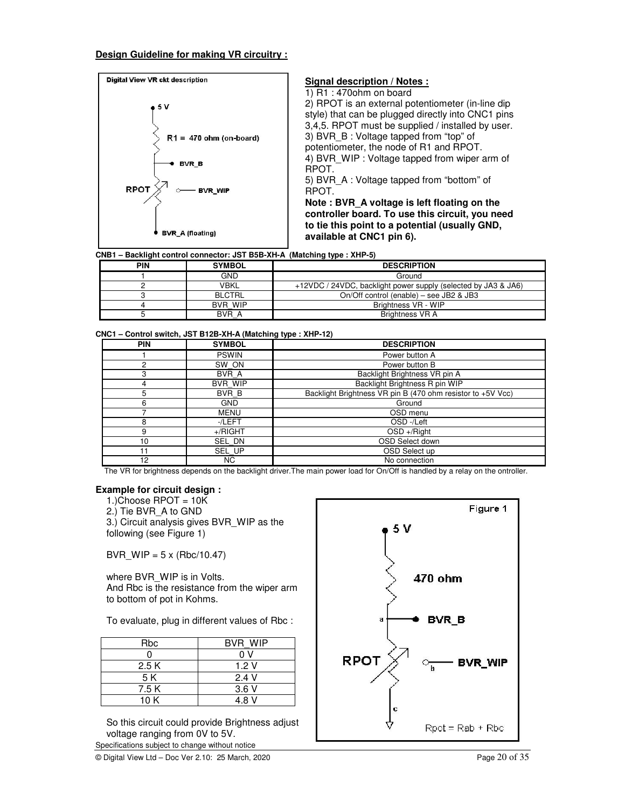### **Design Guideline for making VR circuitry :**



**CNB1 – Backlight control connector: JST B5B-XH-A (Matching type : XHP-5)**

|     |                | .                                                              |
|-----|----------------|----------------------------------------------------------------|
| PIN | <b>SYMBOL</b>  | <b>DESCRIPTION</b>                                             |
|     | <b>GND</b>     | Ground                                                         |
|     | VBKL           | +12VDC / 24VDC, backlight power supply (selected by JA3 & JA6) |
|     | <b>BLCTRL</b>  | On/Off control (enable) – see JB2 & JB3                        |
|     | <b>BVR WIP</b> | Brightness VR - WIP                                            |
|     | BVR A          | <b>Brightness VR A</b>                                         |

| CNC1 – Control switch, JST B12B-XH-A (Matching type : XHP-12) |  |  |  |
|---------------------------------------------------------------|--|--|--|
|---------------------------------------------------------------|--|--|--|

| <b>PIN</b> | <b>SYMBOL</b>  | <b>DESCRIPTION</b>                                          |
|------------|----------------|-------------------------------------------------------------|
|            | <b>PSWIN</b>   | Power button A                                              |
| າ          | SW ON          | Power button B                                              |
| 3          | BVR A          | Backlight Brightness VR pin A                               |
| 4          | <b>BVR WIP</b> | Backlight Brightness R pin WIP                              |
| 5          | BVR B          | Backlight Brightness VR pin B (470 ohm resistor to +5V Vcc) |
| 6          | <b>GND</b>     | Ground                                                      |
|            | MENU           | OSD menu                                                    |
| 8          | -/LEFT         | OSD-/Left                                                   |
| 9          | $+$ /RIGHT     | $OSD + /$ Right                                             |
| 10         | SEL DN         | OSD Select down                                             |
| 11         | SEL UP         | OSD Select up                                               |
| 12         | NC.            | No connection                                               |

The VR for brightness depends on the backlight driver.The main power load for On/Off is handled by a relay on the ontroller.

### **Example for circuit design :**

1.)Choose RPOT =  $10K$ 2.) Tie BVR\_A to GND 3.) Circuit analysis gives BVR\_WIP as the following (see Figure 1)

 $BVR_WIP = 5 \times (Rbc/10.47)$ 

where BVR\_WIP is in Volts. And Rbc is the resistance from the wiper arm to bottom of pot in Kohms.

To evaluate, plug in different values of Rbc :

| <b>Rbc</b> | <b>BVR WIP</b> |
|------------|----------------|
|            | 0 V            |
| 2.5 K      | 1.2V           |
| 5 K        | 2.4 V          |
| 7.5 K      | 3.6V           |
| 10 K       | 4.8 V          |

So this circuit could provide Brightness adjust voltage ranging from 0V to 5V.

Specifications subject to change without notice

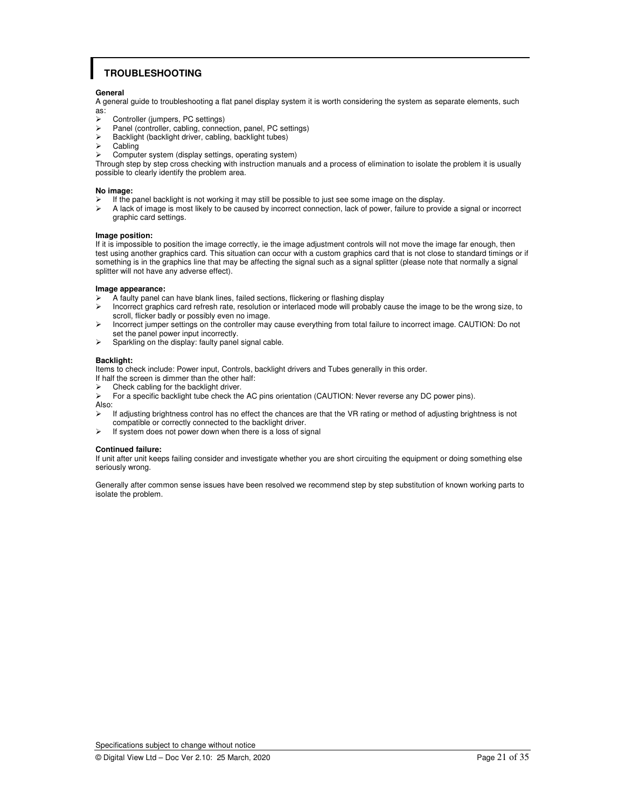# **TROUBLESHOOTING**

### **General**

A general guide to troubleshooting a flat panel display system it is worth considering the system as separate elements, such as:

- Subsettings Controller (jumpers, PC settings)<br>
Subsetting connect Panel (controller cabing connected)
- Panel (controller, cabling, connection, panel, PC settings)
- $\triangleright$  Backlight (backlight driver, cabling, backlight tubes)
- Cabling
- Computer system (display settings, operating system)

Through step by step cross checking with instruction manuals and a process of elimination to isolate the problem it is usually possible to clearly identify the problem area.

#### **No image:**

- If the panel backlight is not working it may still be possible to just see some image on the display.<br>
A lack of image is most likely to be caused by incorrect connection, lack of power, failure to provide
- A lack of image is most likely to be caused by incorrect connection, lack of power, failure to provide a signal or incorrect graphic card settings.

#### **Image position:**

If it is impossible to position the image correctly, ie the image adjustment controls will not move the image far enough, then test using another graphics card. This situation can occur with a custom graphics card that is not close to standard timings or if something is in the graphics line that may be affecting the signal such as a signal splitter (please note that normally a signal splitter will not have any adverse effect).

### **Image appearance:**

- $\geq$  A faulty panel can have blank lines, failed sections, flickering or flashing display<br>
Incorrect graphics card refresh rate, resolution or interlaced mode will probably
- Incorrect graphics card refresh rate, resolution or interlaced mode will probably cause the image to be the wrong size, to scroll, flicker badly or possibly even no image.
- Incorrect jumper settings on the controller may cause everything from total failure to incorrect image. CAUTION: Do not set the panel power input incorrectly.
- $\triangleright$  Sparkling on the display: faulty panel signal cable.

### **Backlight:**

Items to check include: Power input, Controls, backlight drivers and Tubes generally in this order.

- If half the screen is dimmer than the other half:
- Check cabling for the backlight driver.
- For a specific backlight tube check the AC pins orientation (CAUTION: Never reverse any DC power pins).

Also:<br>>

- If adjusting brightness control has no effect the chances are that the VR rating or method of adjusting brightness is not compatible or correctly connected to the backlight driver.
- $\triangleright$  If system does not power down when there is a loss of signal

### **Continued failure:**

If unit after unit keeps failing consider and investigate whether you are short circuiting the equipment or doing something else seriously wrong.

Generally after common sense issues have been resolved we recommend step by step substitution of known working parts to isolate the problem.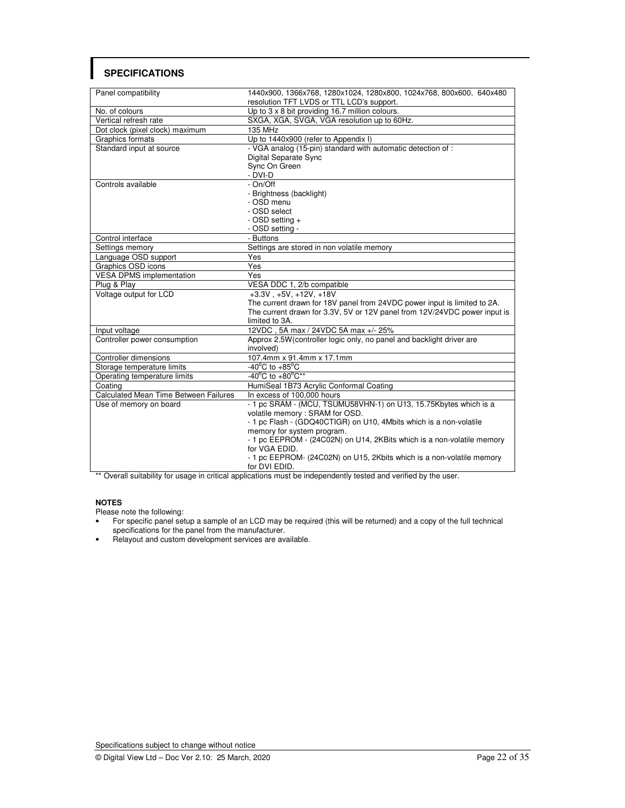# **SPECIFICATIONS**

| Panel compatibility                          | 1440x900, 1366x768, 1280x1024, 1280x800, 1024x768, 800x600, 640x480       |  |  |
|----------------------------------------------|---------------------------------------------------------------------------|--|--|
|                                              | resolution TFT LVDS or TTL LCD's support.                                 |  |  |
| No. of colours                               | Up to 3 x 8 bit providing 16.7 million colours.                           |  |  |
| Vertical refresh rate                        | SXGA, XGA, SVGA, VGA resolution up to 60Hz.                               |  |  |
| Dot clock (pixel clock) maximum              | <b>135 MHz</b>                                                            |  |  |
| Graphics formats                             | Up to 1440x900 (refer to Appendix I)                                      |  |  |
| Standard input at source                     | - VGA analog (15-pin) standard with automatic detection of :              |  |  |
|                                              | Digital Separate Sync                                                     |  |  |
|                                              | Sync On Green                                                             |  |  |
|                                              | - DVI-D                                                                   |  |  |
| Controls available                           | - On/Off                                                                  |  |  |
|                                              | - Brightness (backlight)                                                  |  |  |
|                                              | - OSD menu                                                                |  |  |
|                                              | - OSD select                                                              |  |  |
|                                              | - OSD setting +                                                           |  |  |
|                                              | - OSD setting -                                                           |  |  |
| Control interface                            | - Buttons                                                                 |  |  |
| Settings memory                              | Settings are stored in non volatile memory                                |  |  |
| Language OSD support                         | Yes                                                                       |  |  |
| Graphics OSD icons                           | Yes                                                                       |  |  |
| <b>VESA DPMS implementation</b>              | Yes                                                                       |  |  |
| Plug & Play                                  | VESA DDC 1, 2/b compatible                                                |  |  |
| Voltage output for LCD                       | $+3.3V$ , $+5V$ , $+12V$ , $+18V$                                         |  |  |
|                                              | The current drawn for 18V panel from 24VDC power input is limited to 2A.  |  |  |
|                                              | The current drawn for 3.3V, 5V or 12V panel from 12V/24VDC power input is |  |  |
|                                              | limited to 3A.                                                            |  |  |
| Input voltage                                | 12VDC, 5A max / 24VDC 5A max +/- 25%                                      |  |  |
| Controller power consumption                 | Approx 2.5W (controller logic only, no panel and backlight driver are     |  |  |
|                                              | involved)                                                                 |  |  |
| Controller dimensions                        | 107.4mm x 91.4mm x 17.1mm                                                 |  |  |
| Storage temperature limits                   | $-40^{\circ}$ C to $+85^{\circ}$ C                                        |  |  |
| Operating temperature limits                 | -40°C to $+80^{\circ}C^{\star\star}$                                      |  |  |
| Coating                                      | HumiSeal 1B73 Acrylic Conformal Coating                                   |  |  |
| <b>Calculated Mean Time Between Failures</b> | In excess of 100,000 hours                                                |  |  |
| Use of memory on board                       | - 1 pc SRAM - (MCU, TSUMU58VHN-1) on U13, 15.75Kbytes which is a          |  |  |
|                                              | volatile memory: SRAM for OSD.                                            |  |  |
|                                              | - 1 pc Flash - (GDQ40CTIGR) on U10, 4Mbits which is a non-volatile        |  |  |
|                                              | memory for system program.                                                |  |  |
|                                              | - 1 pc EEPROM - (24C02N) on U14, 2KBits which is a non-volatile memory    |  |  |
|                                              | for VGA EDID.                                                             |  |  |
|                                              | - 1 pc EEPROM- (24C02N) on U15, 2Kbits which is a non-volatile memory     |  |  |
|                                              | for DVI EDID.                                                             |  |  |

\*\* Overall suitability for usage in critical applications must be independently tested and verified by the user.

### **NOTES**

Please note the following:

- For specific panel setup a sample of an LCD may be required (this will be returned) and a copy of the full technical specifications for the panel from the manufacturer.
- Relayout and custom development services are available.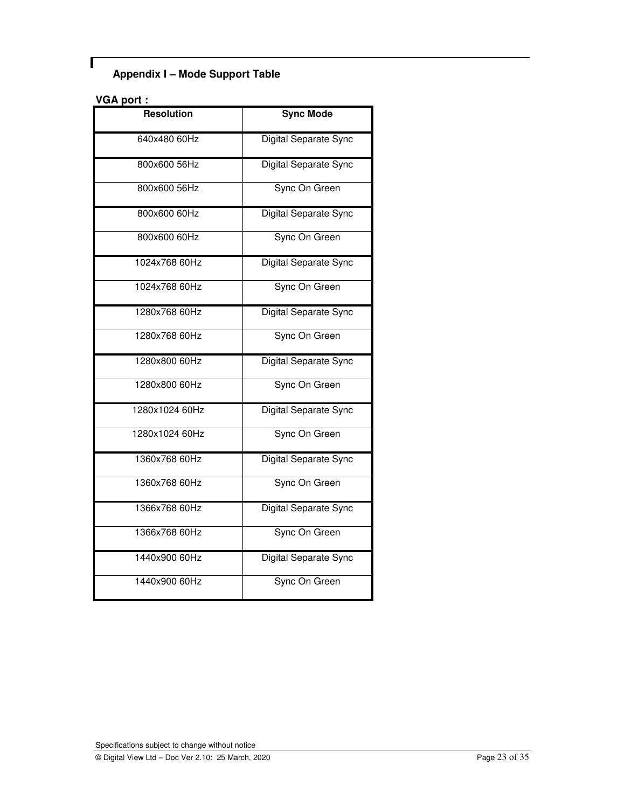# **Appendix I – Mode Support Table**

# **VGA port :**

Г

| <b>Resolution</b> | <b>Sync Mode</b>      |
|-------------------|-----------------------|
| 640x480 60Hz      | Digital Separate Sync |
| 800x600 56Hz      | Digital Separate Sync |
| 800x600 56Hz      | Sync On Green         |
| 800x600 60Hz      | Digital Separate Sync |
| 800x600 60Hz      | Sync On Green         |
| 1024x768 60Hz     | Digital Separate Sync |
| 1024x768 60Hz     | Sync On Green         |
| 1280x768 60Hz     | Digital Separate Sync |
| 1280x768 60Hz     | Sync On Green         |
| 1280x800 60Hz     | Digital Separate Sync |
| 1280x800 60Hz     | Sync On Green         |
| 1280x1024 60Hz    | Digital Separate Sync |
| 1280x1024 60Hz    | Sync On Green         |
| 1360x768 60Hz     | Digital Separate Sync |
| 1360x768 60Hz     | Sync On Green         |
| 1366x768 60Hz     | Digital Separate Sync |
| 1366x768 60Hz     | Sync On Green         |
| 1440x900 60Hz     | Digital Separate Sync |
| 1440x900 60Hz     | Sync On Green         |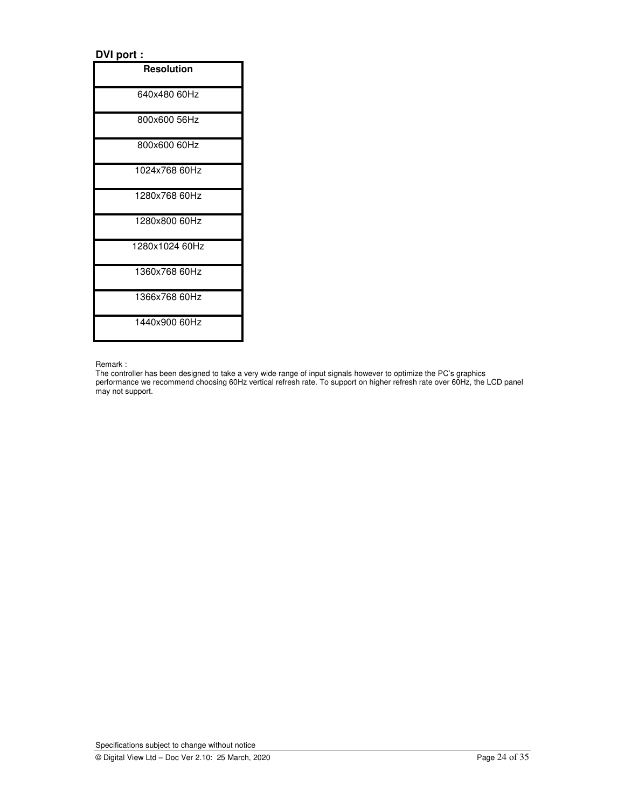# **DVI port :**

| <b>Resolution</b> |
|-------------------|
| 640x480 60Hz      |
| 800x600 56Hz      |
| 800x600 60Hz      |
| 1024x768 60Hz     |
| 1280x768 60Hz     |
| 1280x800 60Hz     |
| 1280x1024 60Hz    |
| 1360x768 60Hz     |
| 1366x768 60Hz     |
| 1440x900 60Hz     |

Remark :

The controller has been designed to take a very wide range of input signals however to optimize the PC's graphics performance we recommend choosing 60Hz vertical refresh rate. To support on higher refresh rate over 60Hz, the LCD panel may not support.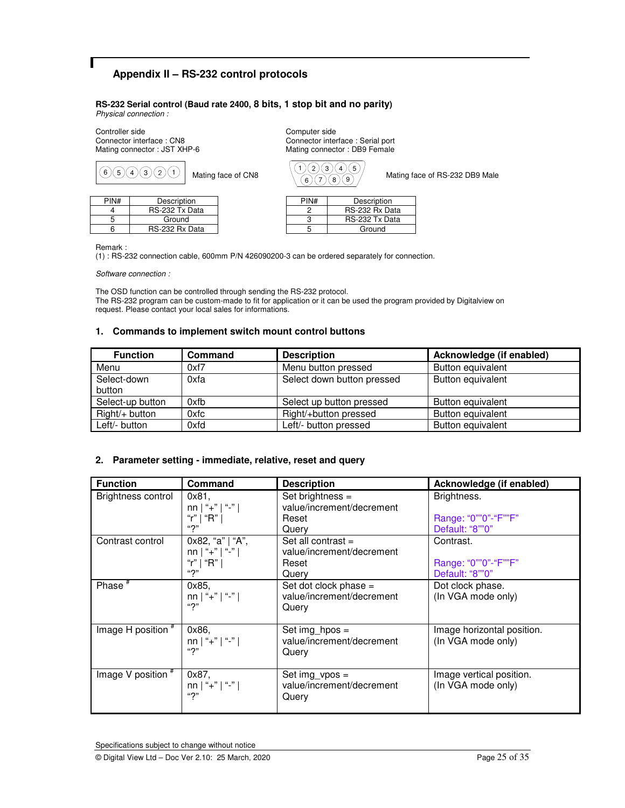# **Appendix II – RS-232 control protocols**

**RS-232 Serial control (Baud rate 2400, 8 bits, 1 stop bit and no parity)** *Physical connection :* 

Controller side<br>
Connector interface : CN8<br>
Connector interface : CN8<br>
Connector interface : CN8 Connector interface : CN8 Connector interface : Serial port<br>
Mating connector : JST XHP-6 Mating connector : DB9 Female

| 6<br>5 <sup>1</sup> | $\Omega$<br>(3)<br>4) | Mating face of CN8 | 6    | 5<br>8<br>9    | Mating face of RS-232 DB9 Male |
|---------------------|-----------------------|--------------------|------|----------------|--------------------------------|
| PIN#                | Description           |                    | PIN# | Description    |                                |
|                     | RS-232 Tx Data        |                    |      | RS-232 Rx Data |                                |
|                     | Ground                |                    |      | RS-232 Tx Data |                                |
|                     | RS-232 Rx Data        |                    |      | Ground         |                                |

Mating connector : DB9 Female

| 6    | ΄8,<br>9       |
|------|----------------|
| PIN# | Description    |
|      | RS-232 Rx Data |
| 3    | RS-232 Tx Data |
|      | Ground         |

Remark :

(1) : RS-232 connection cable, 600mm P/N 426090200-3 can be ordered separately for connection.

*Software connection :* 

The OSD function can be controlled through sending the RS-232 protocol. The RS-232 program can be custom-made to fit for application or it can be used the program provided by Digitalview on request. Please contact your local sales for informations.

### **1. Commands to implement switch mount control buttons**

| <b>Function</b>  | Command | <b>Description</b>         | Acknowledge (if enabled) |
|------------------|---------|----------------------------|--------------------------|
| Menu             | 0xf7    | Menu button pressed        | Button equivalent        |
| Select-down      | 0xfa    | Select down button pressed | Button equivalent        |
| button           |         |                            |                          |
| Select-up button | 0xfb    | Select up button pressed   | Button equivalent        |
| $Right/+$ button | 0xfc    | Right/+button pressed      | Button equivalent        |
| Left/- button    | $0x$ fd | Left/- button pressed      | Button equivalent        |

### **2. Parameter setting - immediate, relative, reset and query**

| <b>Function</b>    | <b>Command</b>                                                     | <b>Description</b>                                                  | Acknowledge (if enabled)                               |
|--------------------|--------------------------------------------------------------------|---------------------------------------------------------------------|--------------------------------------------------------|
| Brightness control | $0x81$ .<br>$nn \mid$ "+" $\mid$ "-" $\mid$<br>"r"   "R"  <br>``2" | Set brightness =<br>value/increment/decrement<br>Reset<br>Query     | Brightness.<br>Range: "0""0"-"F""F"<br>Default: "8""0" |
| Contrast control   | 0x82, "a"   "A",<br>$nn$   "+"   "-"  <br>"r"   "R"  <br>"?"       | Set all contrast $=$<br>value/increment/decrement<br>Reset<br>Query | Contrast.<br>Range: "0""0"-"F""F"<br>Default: "8""0"   |
| Phase $*$          | 0x85,<br>nn   "+"   "-"  <br>"?"                                   | Set dot clock phase =<br>value/increment/decrement<br>Query         | Dot clock phase.<br>(In VGA mode only)                 |
| Image H position # | 0x86,<br>nn   "+"   "-"  <br>"?"                                   | Set img $hpos =$<br>value/increment/decrement<br>Query              | Image horizontal position.<br>(In VGA mode only)       |
| Image V position # | 0x87,<br>nn   "+"   "-"  <br>"?"                                   | Set $img\_vpos =$<br>value/increment/decrement<br>Query             | Image vertical position.<br>(In VGA mode only)         |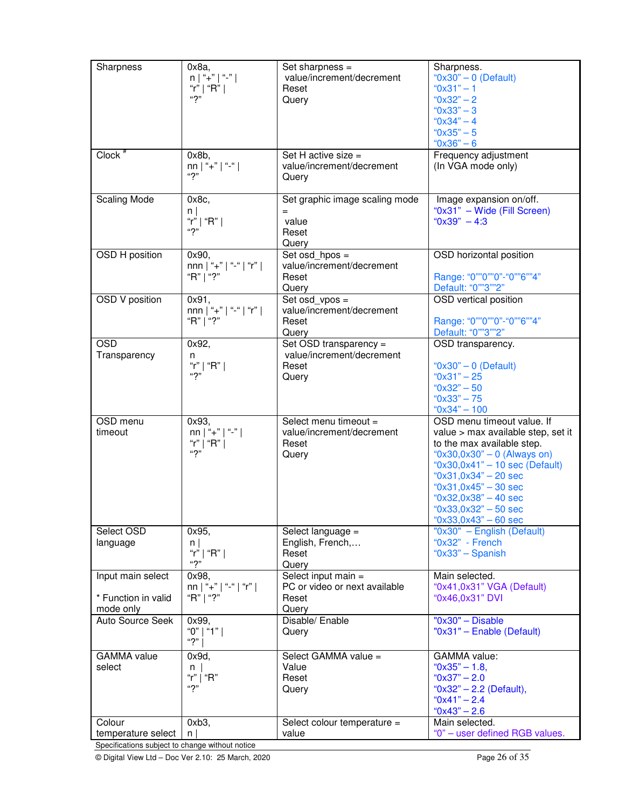| Sharpness                                       | $0x8a$ ,<br>$n \mid$ "+" $\mid$ "-" $\mid$<br>"r"   "R" | Set sharpness $=$<br>value/increment/decrement<br>Reset              | Sharpness.<br>" $0x30" - 0$ (Default)<br>" $0x31" - 1$                                                                        |
|-------------------------------------------------|---------------------------------------------------------|----------------------------------------------------------------------|-------------------------------------------------------------------------------------------------------------------------------|
|                                                 | ``2"                                                    | Query                                                                | " $0x32" - 2$<br>" $0x33" - 3$                                                                                                |
|                                                 |                                                         |                                                                      | " $0x34" - 4$<br>$"0x35" - 5"$<br>$^{\circ}$ 0x36" – 6                                                                        |
| Clock <sup>#</sup>                              | $0x8b$ ,<br>nn   "+"   "-"  <br>"2"                     | Set H active size =<br>value/increment/decrement<br>Query            | Frequency adjustment<br>(In VGA mode only)                                                                                    |
| <b>Scaling Mode</b>                             | 0x8c,<br>$n \mid$<br>"r"   "R"  <br>``2"                | Set graphic image scaling mode<br>$=$<br>value<br>Reset              | Image expansion on/off.<br>"0x31" - Wide (Fill Screen)<br>" $0x39" - 4:3$                                                     |
| OSD H position                                  | 0x90,                                                   | Query<br>Set osd $hpos =$                                            | OSD horizontal position                                                                                                       |
|                                                 | nnn   "+"   "-"   "r"  <br>"R"   "?"                    | value/increment/decrement<br>Reset<br>Query                          | Range: "0""0""0"-"0""6""4"<br>Default: "0""3""2"                                                                              |
| <b>OSD V position</b>                           | 0x91,<br>nnn   "+"   "-"   "r"  <br>"R"   "?"           | Set osd_vpos =<br>value/increment/decrement<br>Reset                 | OSD vertical position<br>Range: "0""0""0"-"0""6""4"                                                                           |
| <b>OSD</b>                                      | 0x92,                                                   | Query<br>Set OSD transparency =                                      | Default: "0""3""2"<br>OSD transparency.                                                                                       |
| Transparency                                    | n<br>"r"   "R"                                          | value/increment/decrement<br>Reset                                   | " $0x30" - 0$ (Default)                                                                                                       |
|                                                 | ``2"                                                    | Query                                                                | $^{\circ}$ 0x31" - 25<br>$^{\circ}$ 0x32" - 50<br>$"0x33" - 75"$                                                              |
|                                                 |                                                         |                                                                      | $"0x34" - 100$                                                                                                                |
| OSD menu<br>timeout                             | 0x93,<br>nn   "+"   "-"  <br>"r"   "R" $\vert$<br>"2"   | Select menu timeout =<br>value/increment/decrement<br>Reset<br>Query | OSD menu timeout value. If<br>value > max available step, set it<br>to the max available step.<br>"0x30,0x30" - 0 (Always on) |
|                                                 |                                                         |                                                                      | " $0x30,0x41" - 10$ sec (Default)<br>$"0x31,0x34" - 20 sec$<br>$"0x31,0x45" - 30 sec$<br>" $0x32,0x38" - 40$ sec              |
|                                                 |                                                         |                                                                      | " $0x33,0x32" - 50$ sec<br>"0x33,0x43" $-60$ sec                                                                              |
| Select OSD<br>language                          | 0x95,<br>$n \mid$<br>"r"   "R"  <br>"2"                 | Select language =<br>English, French,<br>Reset<br>Query              | "0x30" - English (Default)<br>"0x32" - French<br>" $0x33"$ - Spanish                                                          |
| Input main select                               | 0x98.<br>nn   "+"   "-"   "r"                           | Select input main =<br>PC or video or next available                 | Main selected.<br>"0x41,0x31" VGA (Default)                                                                                   |
| * Function in valid<br>mode only                | "R"   "?"                                               | Reset<br>Query                                                       | "0x46,0x31" DVI                                                                                                               |
| Auto Source Seek                                | 0x99,<br>"0"   "1"  <br>"?"                             | Disable/ Enable<br>Query                                             | $"0x30"$ - Disable<br>"0x31" - Enable (Default)                                                                               |
| <b>GAMMA</b> value                              | 0x9d,                                                   | Select GAMMA value =                                                 | <b>GAMMA</b> value:                                                                                                           |
| select                                          | $n \mid$<br>"r"   "R"                                   | Value<br>Reset                                                       | " $0x35" - 1.8$<br>$"0x37" - 2.0"$                                                                                            |
|                                                 | "2"                                                     | Query                                                                | "0x32" - 2.2 (Default),<br>$"0x41" - 2.4"$<br>$^{\circ}$ 0x43" – 2.6                                                          |
| Colour<br>temperature select                    | 0xb3,<br>n.                                             | Select colour temperature =<br>value                                 | Main selected.<br>"0" - user defined RGB values.                                                                              |
| Specifications subject to change without notice |                                                         |                                                                      |                                                                                                                               |

© Digital View Ltd – Doc Ver 2.10: 25 March, 2020 Page 26 of 35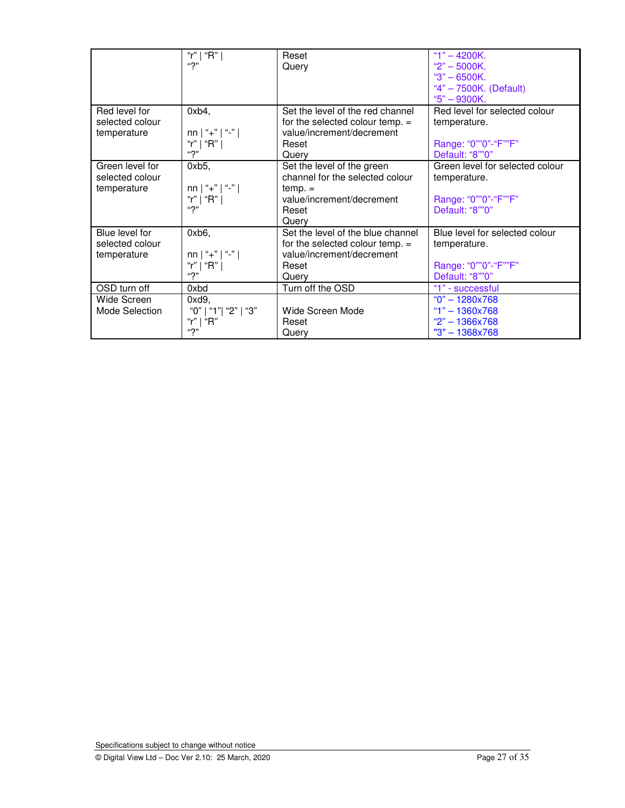|                 | "r"   "R"                       | Reset                             | "1" $-$ 4200K.                  |
|-----------------|---------------------------------|-----------------------------------|---------------------------------|
|                 | "2"                             | Query                             | " $2" - 5000K.$                 |
|                 |                                 |                                   | $"3" - 6500K.$                  |
|                 |                                 |                                   | "4" - 7500K. (Default)          |
|                 |                                 |                                   | $"5" - 9300K.$                  |
| Red level for   | $0xb4$ ,                        | Set the level of the red channel  | Red level for selected colour   |
| selected colour |                                 | for the selected colour temp. $=$ | temperature.                    |
| temperature     | $nn \mid$ "+" $\mid$ "-" $\mid$ | value/increment/decrement         |                                 |
|                 | "r"   "R"                       | Reset                             | Range: "0""0"-"F""F"            |
|                 | "2"                             | Query                             | Default: "8""0"                 |
| Green level for | 0xb5,                           | Set the level of the green        | Green level for selected colour |
| selected colour |                                 | channel for the selected colour   | temperature.                    |
| temperature     | $nn \mid$ "+" $\mid$ "-" $\mid$ | $temp. =$                         |                                 |
|                 | "r"   "R"                       | value/increment/decrement         | Range: "0""0"-"F""F"            |
|                 | ``2"                            | Reset                             | Default: "8""0"                 |
|                 |                                 | Querv                             |                                 |
| Blue level for  | $0xb6$ ,                        | Set the level of the blue channel | Blue level for selected colour  |
| selected colour |                                 | for the selected colour temp. =   | temperature.                    |
| temperature     | $nn \mid$ "+" $\mid$ "-" $\mid$ | value/increment/decrement         |                                 |
|                 | "r"   "R"                       | Reset                             | Range: "0""0"-"F""F"            |
|                 | "?"                             | Query                             | Default: "8""0"                 |
| OSD turn off    | 0xbd                            | Turn off the OSD                  | "1" - successful                |
| Wide Screen     | 0xd9,                           |                                   | $"0" - 1280x768$                |
| Mode Selection  | "0"   "1"  "2"   "3"            | Wide Screen Mode                  | $"1" - 1360x768$                |
|                 | "r"   " $R$ "                   | Reset                             | $"2" - 1366x768"$               |
|                 | "?"                             | Query                             | "3" - 1368x768                  |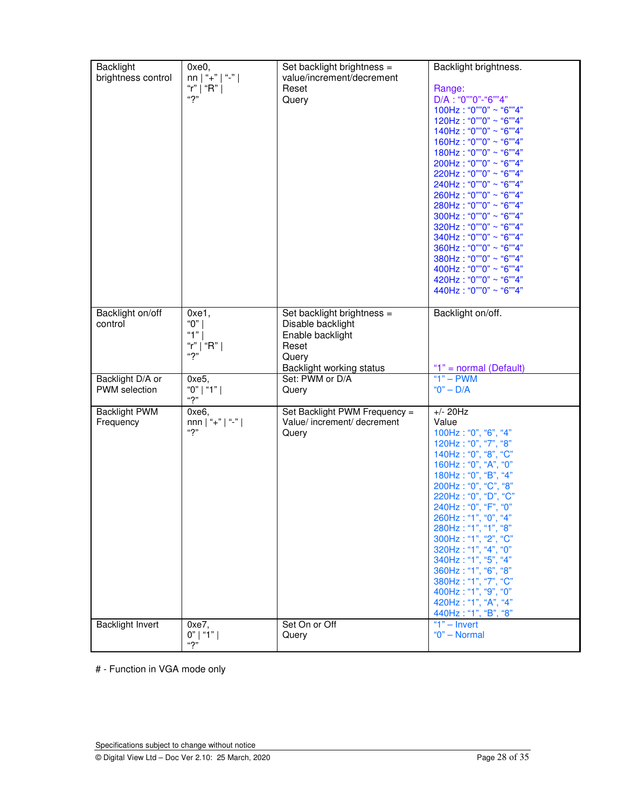| <b>Backlight</b>        |                                  |                                                         |                                              |
|-------------------------|----------------------------------|---------------------------------------------------------|----------------------------------------------|
|                         | 0xe0,                            | Set backlight brightness =<br>value/increment/decrement | Backlight brightness.                        |
| brightness control      | nn   "+"   "-"                   |                                                         |                                              |
|                         | "r"   "R"  <br>"2"               | Reset                                                   | Range:                                       |
|                         |                                  | Query                                                   | $D/A$ : "0""0"-"6""4"                        |
|                         |                                  |                                                         | $100Hz : "0" "0" \sim "6" "4"$               |
|                         |                                  |                                                         | $120Hz : "0" "0" \sim "6" "4"$               |
|                         |                                  |                                                         | 140Hz: "0""0" ~ "6""4"                       |
|                         |                                  |                                                         | 160Hz: "0""0" ~ "6""4"                       |
|                         |                                  |                                                         | $180Hz$ : "0""0" ~ "6""4"                    |
|                         |                                  |                                                         | $200Hz : "0" "0" \sim "6" "4"$               |
|                         |                                  |                                                         | $220Hz : "0" "0" \sim "6" "4"$               |
|                         |                                  |                                                         | $240Hz$ : "0""0" ~ "6""4"                    |
|                         |                                  |                                                         | 260Hz: "0""0" ~ "6""4"                       |
|                         |                                  |                                                         | 280Hz: "0""0" ~ "6""4"                       |
|                         |                                  |                                                         | 300Hz: "0""0" ~ "6""4"                       |
|                         |                                  |                                                         | 320Hz: "0""0" ~ "6""4"                       |
|                         |                                  |                                                         | $340Hz : "0" "0" \sim "6" "4"$               |
|                         |                                  |                                                         | 360Hz: "0""0" ~ "6""4"                       |
|                         |                                  |                                                         | 380Hz: "0""0" ~ "6""4"                       |
|                         |                                  |                                                         | 400Hz: "0""0" ~ "6""4"                       |
|                         |                                  |                                                         | 420Hz: "0""0" ~ "6""4"                       |
|                         |                                  |                                                         | 440Hz: "0""0" ~ "6""4"                       |
|                         |                                  |                                                         |                                              |
| Backlight on/off        | $0xe1$ ,                         | Set backlight brightness =                              | Backlight on/off.                            |
| control                 | "0"                              | Disable backlight                                       |                                              |
|                         | "1" $ $                          | Enable backlight                                        |                                              |
|                         | "r"   "R"                        | Reset                                                   |                                              |
|                         | "?"                              | Query                                                   |                                              |
|                         |                                  | Backlight working status                                | "1" = normal (Default)                       |
| Backlight D/A or        | $0xe5$ .                         | Set: PWM or D/A                                         | " $1" - PWM$                                 |
| <b>PWM</b> selection    | "0"   "1"                        |                                                         | $"0" - D/A$                                  |
|                         | ``?"                             | Query                                                   |                                              |
| <b>Backlight PWM</b>    | 0xe6,                            | Set Backlight PWM Frequency =                           | $+/- 20Hz$                                   |
| Frequency               | $nnn \mid$ "+" $\mid$ "-" $\mid$ | Value/ increment/ decrement                             | Value                                        |
|                         | ``2"                             | Query                                                   | 100Hz: "0", "6", "4"                         |
|                         |                                  |                                                         | 120Hz: "0", "7", "8"                         |
|                         |                                  |                                                         | 140Hz: "0", "8", "C"                         |
|                         |                                  |                                                         | 160Hz: "0", "A", "0"                         |
|                         |                                  |                                                         | 180Hz: "0", "B", "4"                         |
|                         |                                  |                                                         | 200Hz: "0", "C", "8"                         |
|                         |                                  |                                                         | 220Hz: "0", "D", "C"                         |
|                         |                                  |                                                         | 240Hz: "0", "F", "0"                         |
|                         |                                  |                                                         | 260Hz: "1", "0", "4"                         |
|                         |                                  |                                                         |                                              |
|                         |                                  |                                                         | 280Hz: "1", "1", "8"<br>300Hz: "1", "2", "C" |
|                         |                                  |                                                         |                                              |
|                         |                                  |                                                         | 320Hz: "1", "4", "0"                         |
|                         |                                  |                                                         | 340Hz: "1", "5", "4"                         |
|                         |                                  |                                                         | 360Hz: "1", "6", "8"                         |
|                         |                                  |                                                         | 380Hz: "1", "7", "C"                         |
|                         |                                  |                                                         | 400Hz: "1", "9", "0"                         |
|                         |                                  |                                                         | 420Hz: "1", "A", "4"                         |
|                         |                                  |                                                         | 440Hz: "1", "B", "8"                         |
| <b>Backlight Invert</b> | 0xe7,                            | Set On or Off                                           | " $1"$ – Invert                              |
|                         | $0"$   "1"  <br>42 <sub>m</sub>  | Query                                                   | "0" - Normal                                 |
|                         |                                  |                                                         |                                              |

# - Function in VGA mode only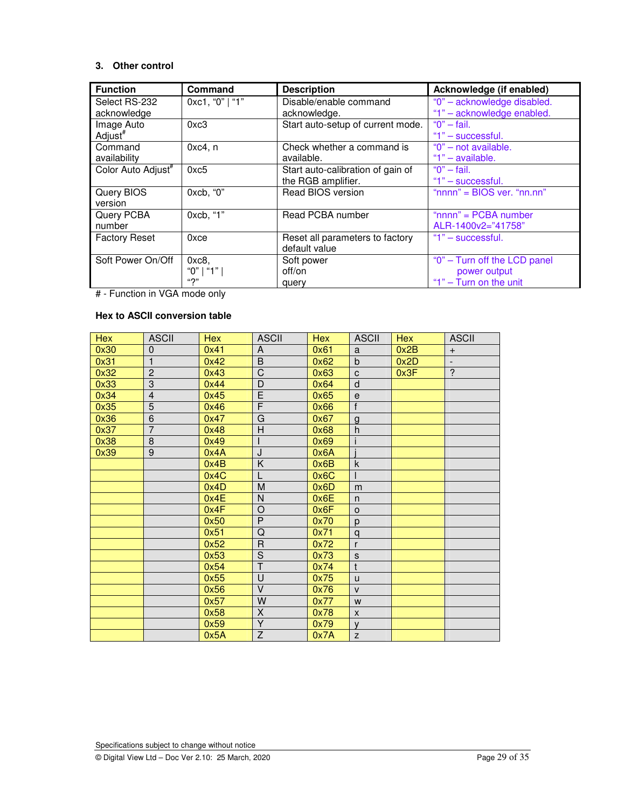# **3. Other control**

| <b>Function</b>                | <b>Command</b>  | <b>Description</b>                | Acknowledge (if enabled)      |
|--------------------------------|-----------------|-----------------------------------|-------------------------------|
| Select RS-232                  | 0xc1, "0"   "1" | Disable/enable command            | "0" - acknowledge disabled.   |
| acknowledge                    |                 | acknowledge.                      | "1" - acknowledge enabled.    |
| Image Auto                     | 0xc3            | Start auto-setup of current mode. | " $0$ " - fail.               |
| Adjust <sup>#</sup>            |                 |                                   | "1" - successful.             |
| Command                        | $0xc4$ , n      | Check whether a command is        | "0" - not available.          |
| availability                   |                 | available.                        | "1" $-$ available.            |
| Color Auto Adjust <sup>#</sup> | 0xc5            | Start auto-calibration of gain of | " $0$ " - fail.               |
|                                |                 | the RGB amplifier.                | "1" - successful.             |
| Query BIOS                     | 0xcb, "0"       | Read BIOS version                 | " $nnnn" = BIOS ver, "nn.nn"$ |
| version                        |                 |                                   |                               |
| Query PCBA                     | 0xcb, "1"       | Read PCBA number                  | " $nnnn" = PCBA number$       |
| number                         |                 |                                   | ALR-1400v2="41758"            |
| <b>Factory Reset</b>           | 0xce            | Reset all parameters to factory   | $"1"$ – successful.           |
|                                |                 | default value                     |                               |
| Soft Power On/Off              | 0xc8            | Soft power                        | "0" - Turn off the LCD panel  |
|                                | "0"   "1"       | off/on                            | power output                  |
|                                | "?"             | query                             | "1" - Turn on the unit        |

# - Function in VGA mode only

# **Hex to ASCII conversion table**

| <b>Hex</b> | <b>ASCII</b>   | <b>Hex</b> | <b>ASCII</b>            | <b>Hex</b> | <b>ASCII</b> | <b>Hex</b> | <b>ASCII</b>             |
|------------|----------------|------------|-------------------------|------------|--------------|------------|--------------------------|
| 0x30       | 0              | 0x41       | A                       | 0x61       | a            | 0x2B       | $\ddot{}$                |
| 0x31       |                | 0x42       | B                       | 0x62       | $\mathsf b$  | 0x2D       | $\overline{\phantom{a}}$ |
| 0x32       | $\overline{c}$ | 0x43       | $\overline{C}$          | 0x63       | $\mathbf{C}$ | 0x3F       | $\overline{\cdot}$       |
| 0x33       | $\overline{3}$ | 0x44       | D                       | 0x64       | d            |            |                          |
| 0x34       | $\overline{4}$ | 0x45       | E                       | 0x65       | $\mathbf e$  |            |                          |
| 0x35       | 5              | 0x46       | $\overline{\mathsf{F}}$ | 0x66       | $\mathsf{f}$ |            |                          |
| 0x36       | 6              | 0x47       | G                       | 0x67       | $\mathsf{g}$ |            |                          |
| 0x37       | $\overline{7}$ | 0x48       | Н                       | 0x68       | h            |            |                          |
| 0x38       | 8              | 0x49       |                         | 0x69       | i            |            |                          |
| 0x39       | $\overline{9}$ | 0x4A       | J                       | 0x6A       |              |            |                          |
|            |                | 0x4B       | Κ                       | 0x6B       | $\sf k$      |            |                          |
|            |                | 0x4C       |                         | 0x6C       | $\mathsf{I}$ |            |                          |
|            |                | 0x4D       | M                       | 0x6D       | m            |            |                          |
|            |                | 0x4E       | N                       | 0x6E       | n            |            |                          |
|            |                | 0x4F       | O                       | 0x6F       | $\circ$      |            |                          |
|            |                | 0x50       | P                       | 0x70       | p            |            |                          |
|            |                | 0x51       | Q                       | 0x71       | q            |            |                          |
|            |                | 0x52       | R                       | 0x72       | r            |            |                          |
|            |                | 0x53       | $\overline{S}$          | 0x73       | $\mathbf S$  |            |                          |
|            |                | 0x54       | T                       | 0x74       | $\mathsf{t}$ |            |                          |
|            |                | 0x55       | U                       | 0x75       | $\mathsf{u}$ |            |                          |
|            |                | 0x56       | $\vee$                  | 0x76       | $\mathsf{V}$ |            |                          |
|            |                | 0x57       | W                       | 0x77       | W            |            |                          |
|            |                | 0x58       | X                       | 0x78       | X            |            |                          |
|            |                | 0x59       | $\overline{Y}$          | 0x79       | $\mathsf{V}$ |            |                          |
|            |                | 0x5A       | $\overline{Z}$          | 0x7A       | Z            |            |                          |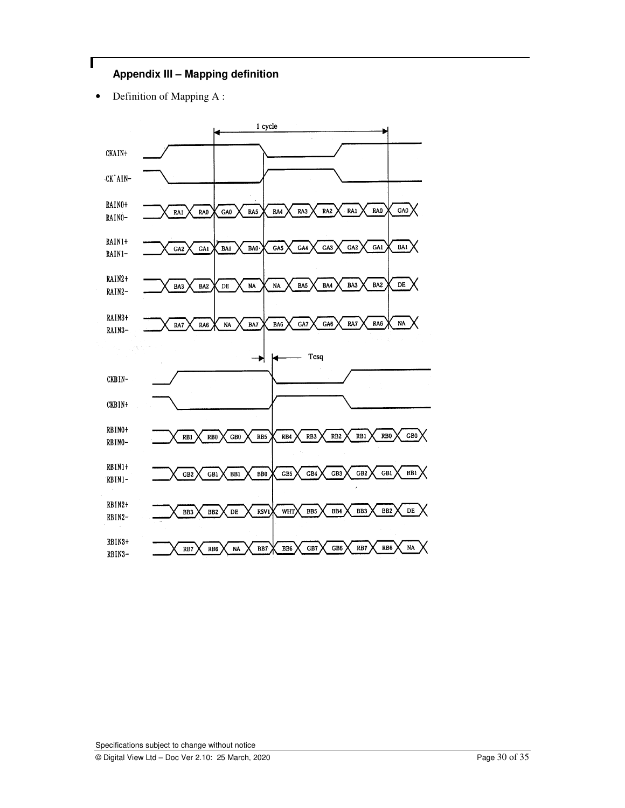# **Appendix III – Mapping definition**

• Definition of Mapping A :

Г

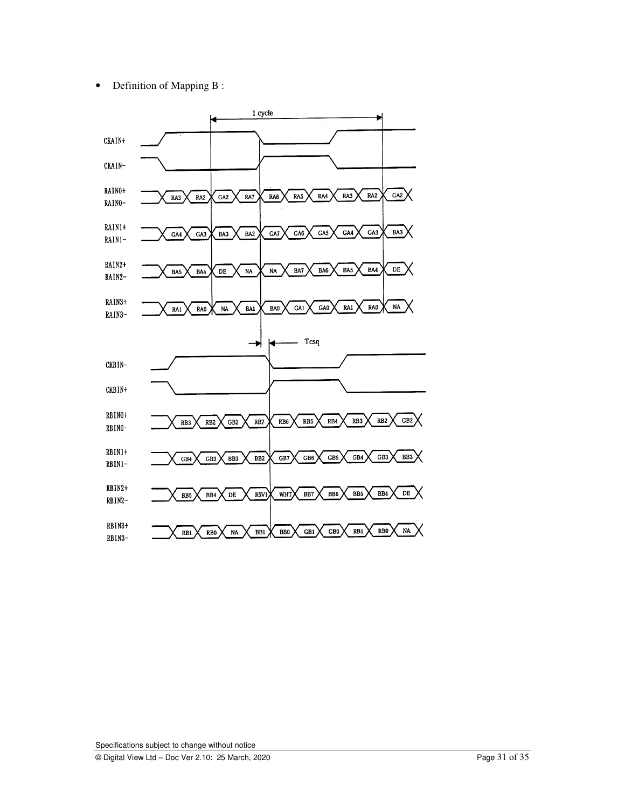• Definition of Mapping B :

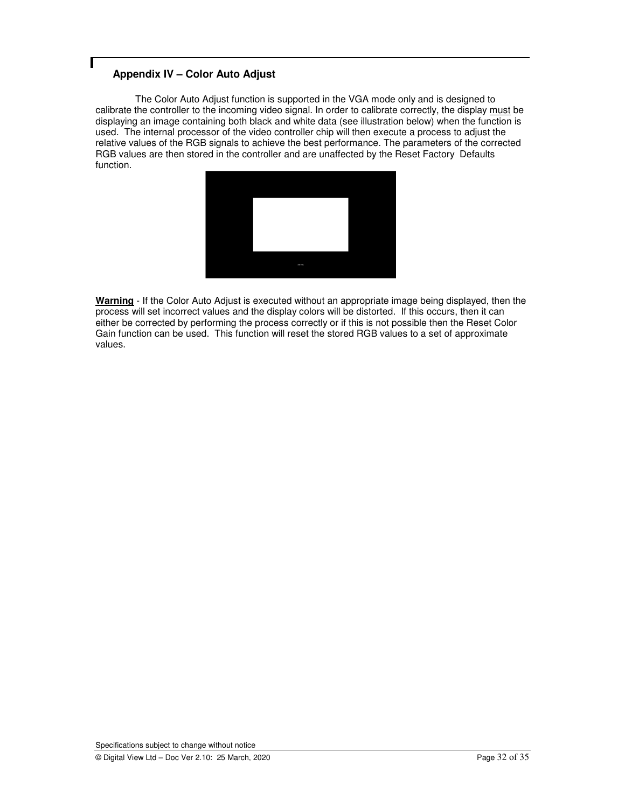# **Appendix IV – Color Auto Adjust**

 The Color Auto Adjust function is supported in the VGA mode only and is designed to calibrate the controller to the incoming video signal. In order to calibrate correctly, the display must be displaying an image containing both black and white data (see illustration below) when the function is used. The internal processor of the video controller chip will then execute a process to adjust the relative values of the RGB signals to achieve the best performance. The parameters of the corrected RGB values are then stored in the controller and are unaffected by the Reset Factory Defaults function.



**Warning** - If the Color Auto Adjust is executed without an appropriate image being displayed, then the process will set incorrect values and the display colors will be distorted. If this occurs, then it can either be corrected by performing the process correctly or if this is not possible then the Reset Color Gain function can be used. This function will reset the stored RGB values to a set of approximate values.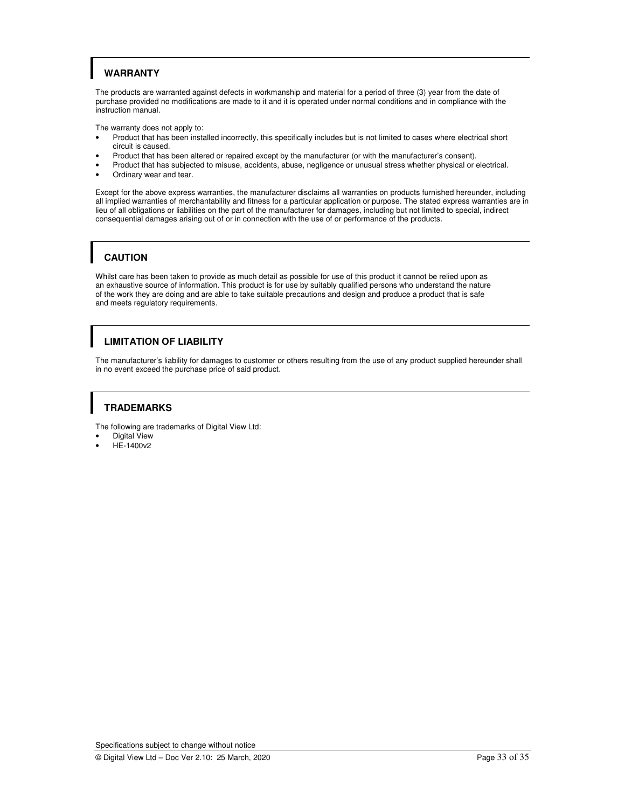# **WARRANTY**

The products are warranted against defects in workmanship and material for a period of three (3) year from the date of purchase provided no modifications are made to it and it is operated under normal conditions and in compliance with the instruction manual.

The warranty does not apply to:

- Product that has been installed incorrectly, this specifically includes but is not limited to cases where electrical short circuit is caused.
- Product that has been altered or repaired except by the manufacturer (or with the manufacturer's consent).
- Product that has subjected to misuse, accidents, abuse, negligence or unusual stress whether physical or electrical.
- Ordinary wear and tear.

Except for the above express warranties, the manufacturer disclaims all warranties on products furnished hereunder, including all implied warranties of merchantability and fitness for a particular application or purpose. The stated express warranties are in lieu of all obligations or liabilities on the part of the manufacturer for damages, including but not limited to special, indirect consequential damages arising out of or in connection with the use of or performance of the products.

# **CAUTION**

Whilst care has been taken to provide as much detail as possible for use of this product it cannot be relied upon as an exhaustive source of information. This product is for use by suitably qualified persons who understand the nature of the work they are doing and are able to take suitable precautions and design and produce a product that is safe and meets regulatory requirements.

# **LIMITATION OF LIABILITY**

The manufacturer's liability for damages to customer or others resulting from the use of any product supplied hereunder shall in no event exceed the purchase price of said product.

# **TRADEMARKS**

The following are trademarks of Digital View Ltd:

- Digital View
- HE-1400v2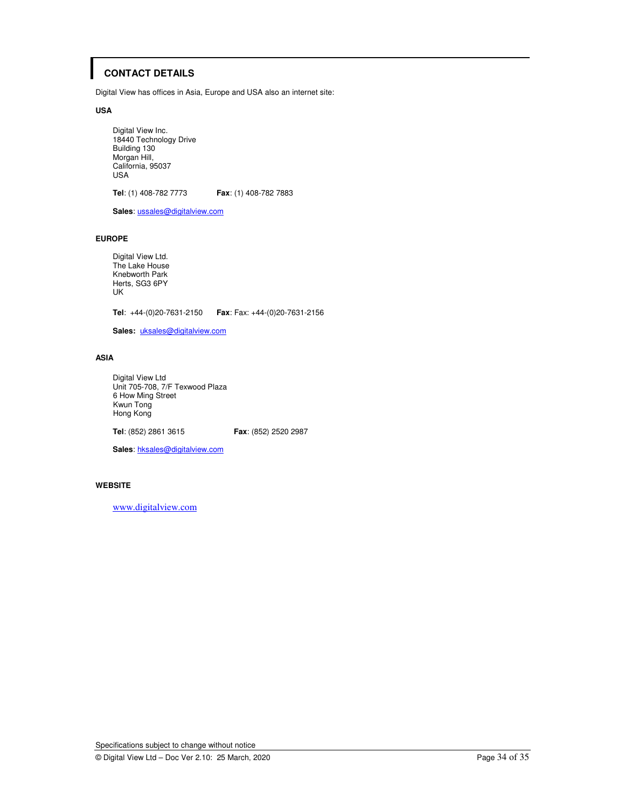# **CONTACT DETAILS**

Digital View has offices in Asia, Europe and USA also an internet site:

#### **USA**

 Digital View Inc. 18440 Technology Drive Building 130 Morgan Hill, California, 95037 USA

**Tel**: (1) 408-782 7773 **Fax**: (1) 408-782 7883

**Sales**: ussales@digitalview.com

### **EUROPE**

Digital View Ltd. The Lake House Knebworth Park Herts, SG3 6PY UK

**Tel**: +44-(0)20-7631-2150 **Fax**: Fax: +44-(0)20-7631-2156

**Sales:** uksales@digitalview.com

### **ASIA**

 Digital View Ltd Unit 705-708, 7/F Texwood Plaza 6 How Ming Street Kwun Tong Hong Kong

**Tel**: (852) 2861 3615 **Fax**: (852) 2520 2987

**Sales**: hksales@digitalview.com

### **WEBSITE**

www.digitalview.com

Specifications subject to change without notice